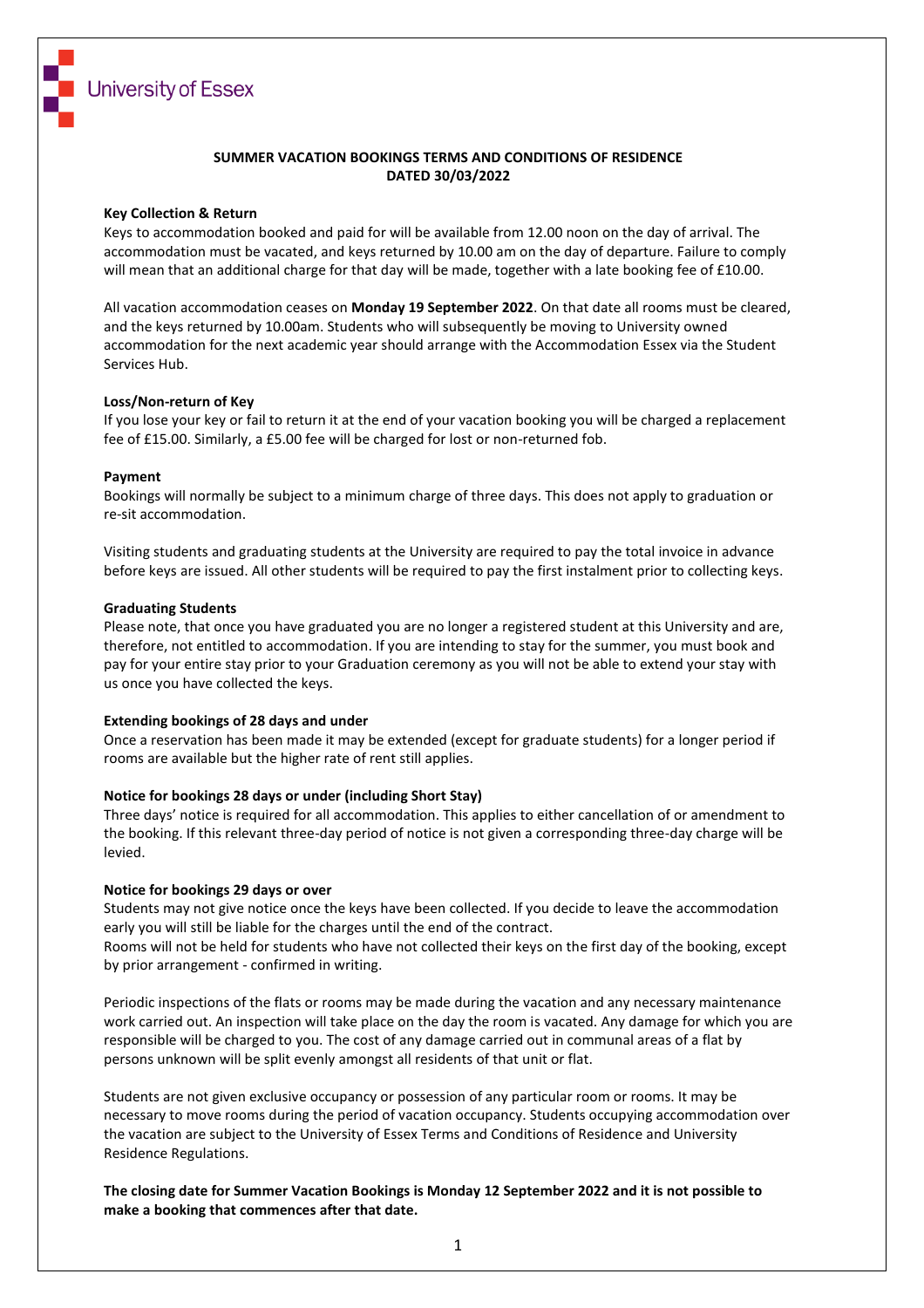

#### **SUMMER VACATION BOOKINGS TERMS AND CONDITIONS OF RESIDENCE DATED 30/03/2022**

#### **Key Collection & Return**

Keys to accommodation booked and paid for will be available from 12.00 noon on the day of arrival. The accommodation must be vacated, and keys returned by 10.00 am on the day of departure. Failure to comply will mean that an additional charge for that day will be made, together with a late booking fee of £10.00.

All vacation accommodation ceases on **Monday 19 September 2022**. On that date all rooms must be cleared, and the keys returned by 10.00am. Students who will subsequently be moving to University owned accommodation for the next academic year should arrange with the Accommodation Essex via the Student Services Hub.

#### **Loss/Non-return of Key**

If you lose your key or fail to return it at the end of your vacation booking you will be charged a replacement fee of £15.00. Similarly, a £5.00 fee will be charged for lost or non-returned fob.

#### **Payment**

Bookings will normally be subject to a minimum charge of three days. This does not apply to graduation or re-sit accommodation.

Visiting students and graduating students at the University are required to pay the total invoice in advance before keys are issued. All other students will be required to pay the first instalment prior to collecting keys.

#### **Graduating Students**

Please note, that once you have graduated you are no longer a registered student at this University and are, therefore, not entitled to accommodation. If you are intending to stay for the summer, you must book and pay for your entire stay prior to your Graduation ceremony as you will not be able to extend your stay with us once you have collected the keys.

#### **Extending bookings of 28 days and under**

Once a reservation has been made it may be extended (except for graduate students) for a longer period if rooms are available but the higher rate of rent still applies.

#### **Notice for bookings 28 days or under (including Short Stay)**

Three days' notice is required for all accommodation. This applies to either cancellation of or amendment to the booking. If this relevant three-day period of notice is not given a corresponding three-day charge will be levied.

#### **Notice for bookings 29 days or over**

Students may not give notice once the keys have been collected. If you decide to leave the accommodation early you will still be liable for the charges until the end of the contract.

Rooms will not be held for students who have not collected their keys on the first day of the booking, except by prior arrangement - confirmed in writing.

Periodic inspections of the flats or rooms may be made during the vacation and any necessary maintenance work carried out. An inspection will take place on the day the room is vacated. Any damage for which you are responsible will be charged to you. The cost of any damage carried out in communal areas of a flat by persons unknown will be split evenly amongst all residents of that unit or flat.

Students are not given exclusive occupancy or possession of any particular room or rooms. It may be necessary to move rooms during the period of vacation occupancy. Students occupying accommodation over the vacation are subject to the University of Essex Terms and Conditions of Residence and University Residence Regulations.

**The closing date for Summer Vacation Bookings is Monday 12 September 2022 and it is not possible to make a booking that commences after that date.**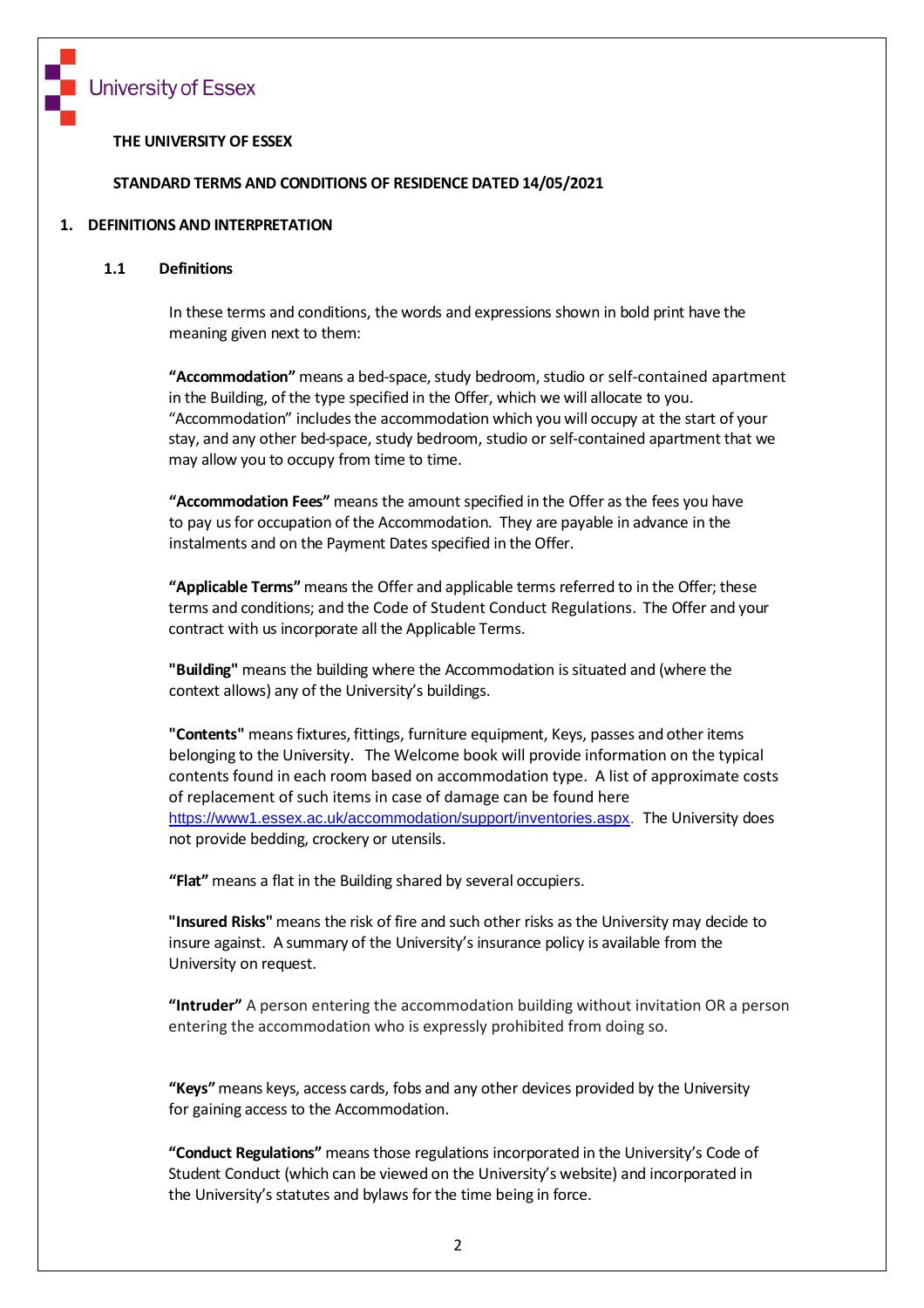

### **THE UNIVERSITY OF ESSEX**

#### **STANDARD TERMS AND CONDITIONS OF RESIDENCE DATED 14/05/2021**

#### **1. DEFINITIONS AND INTERPRETATION**

#### **1.1 Definitions**

In these terms and conditions, the words and expressions shown in bold print have the meaning given next to them:

"Accommodation" means a bed-space, study bedroom, studio or self-contained apartment in the Building, of the type specified in the Offer, which we will allocate to you. "Accommodation" includesthe accommodation which you will occupy at the start of your stay, and any other bed-space, study bedroom, studio or self-contained apartment that we may allow you to occupy from time to time.

**"Accommodation Fees"** means the amount specified in the Offer as the fees you have to pay us for occupation of the Accommodation. They are payable in advance in the instalments and on the Payment Dates specified in the Offer.

**"Applicable Terms"** means the Offer and applicable terms referred to in the Offer; these terms and conditions; and the Code of Student Conduct Regulations. The Offer and your contract with us incorporate all the Applicable Terms.

**"Building"** means the building where the Accommodation issituated and (where the context allows) any of the University's buildings.

**"Contents"** means fixtures, fittings, furniture equipment, Keys, passes and other items belonging to the University. The Welcome book will provide information on the typical contents found in each room based on accommodation type. A list of approximate costs of replacement of such items in case of damage can be found here [https://www1.essex.ac.uk/accommodation/support/inventories.aspx.](https://www1.essex.ac.uk/accommodation/support/inventories.aspx) The University does not provide bedding, crockery or utensils.

**"Flat"** means a flat in the Building shared by several occupiers.

**"Insured Risks"** means the risk of fire and such other risks as the University may decide to insure against. A summary of the University's insurance policy is available from the University on request.

**"Intruder"** A person entering the accommodation building without invitation OR a person entering the accommodation who is expressly prohibited from doing so.

**"Keys"**means keys, access cards, fobs and any other devices provided by the University for gaining access to the Accommodation.

**"Conduct Regulations"** means those regulations incorporated in the University's Code of Student Conduct (which can be viewed on the University's website) and incorporated in the University's statutes and bylaws for the time being in force.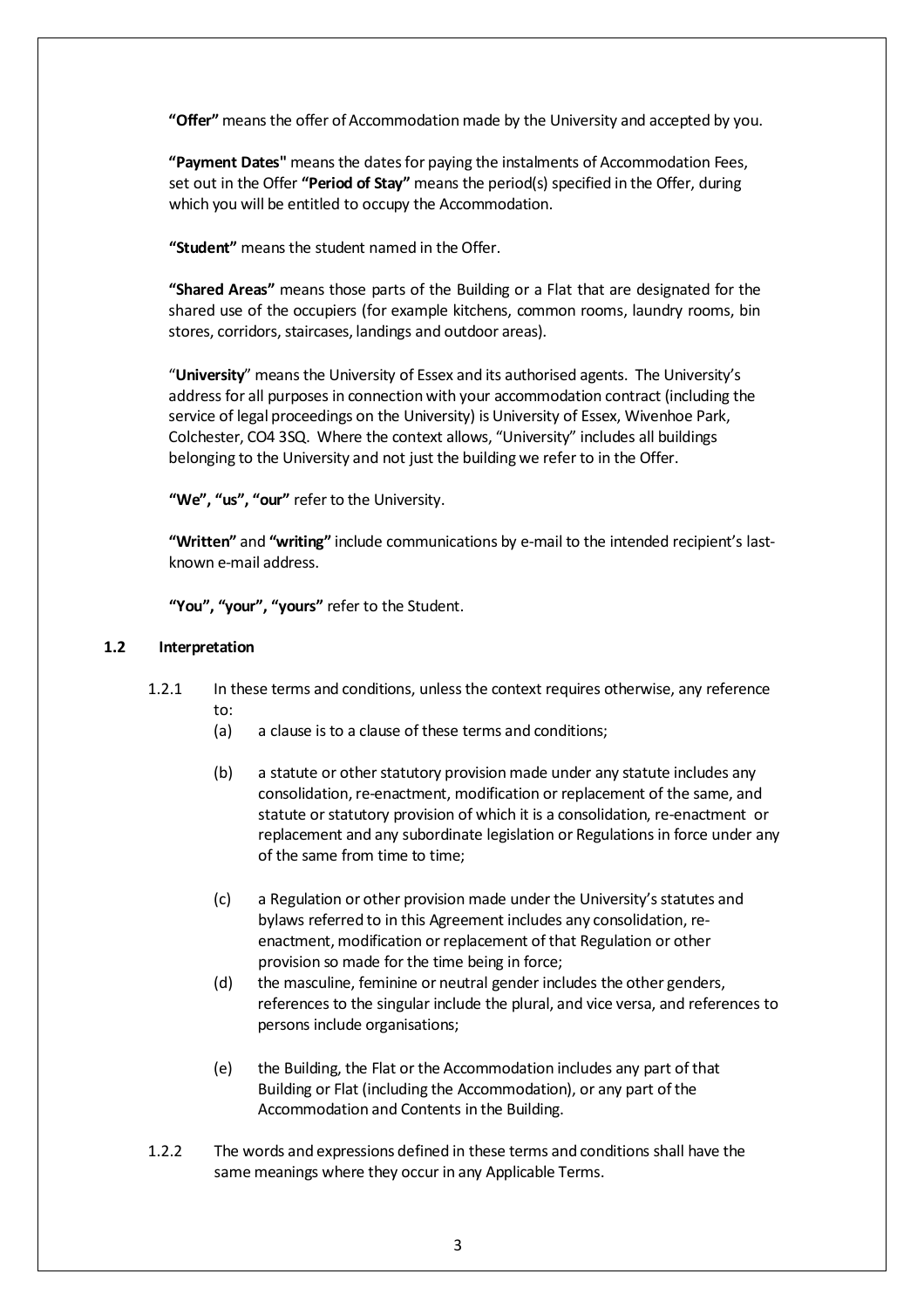**"Offer"** means the offer of Accommodation made by the University and accepted by you.

**"Payment Dates"** means the datesfor paying the instalments of Accommodation Fees, set out in the Offer **"Period of Stay"** means the period(s) specified in the Offer, during which you will be entitled to occupy the Accommodation.

**"Student"** means the student named in the Offer.

**"Shared Areas"** means those parts of the Building or a Flat that are designated for the shared use of the occupiers (for example kitchens, common rooms, laundry rooms, bin stores, corridors, staircases, landings and outdoor areas).

"**University**" means the University of Essex and its authorised agents. The University's address for all purposes in connection with your accommodation contract (including the service of legal proceedings on the University) is University of Essex, Wivenhoe Park, Colchester, CO4 3SQ. Where the context allows, "University" includes all buildings belonging to the University and not just the building we refer to in the Offer.

**"We", "us", "our"** refer to the University.

**"Written"** and **"writing"** include communications by e-mail to the intended recipient's lastknown e-mail address.

**"You", "your", "yours"** refer to the Student.

#### **1.2 Interpretation**

- 1.2.1 In these terms and conditions, unlessthe context requires otherwise, any reference to:
	- (a) a clause isto a clause of these terms and conditions;
	- (b) a statute or other statutory provision made under any statute includes any consolidation, re-enactment, modification or replacement of the same, and statute or statutory provision of which it is a consolidation, re-enactment or replacement and any subordinate legislation or Regulations in force under any of the same from time to time;
	- (c) a Regulation or other provision made under the University's statutes and bylaws referred to in this Agreement includes any consolidation, reenactment, modification or replacement of that Regulation or other provision so made for the time being in force;
	- (d) the masculine, feminine or neutral gender includes the other genders, references to the singular include the plural, and vice versa, and references to persons include organisations;
	- (e) the Building, the Flat or the Accommodation includes any part of that Building or Flat (including the Accommodation), or any part ofthe Accommodation and Contents in the Building.
- 1.2.2 The words and expressions defined in these terms and conditions shall have the same meanings where they occur in any Applicable Terms.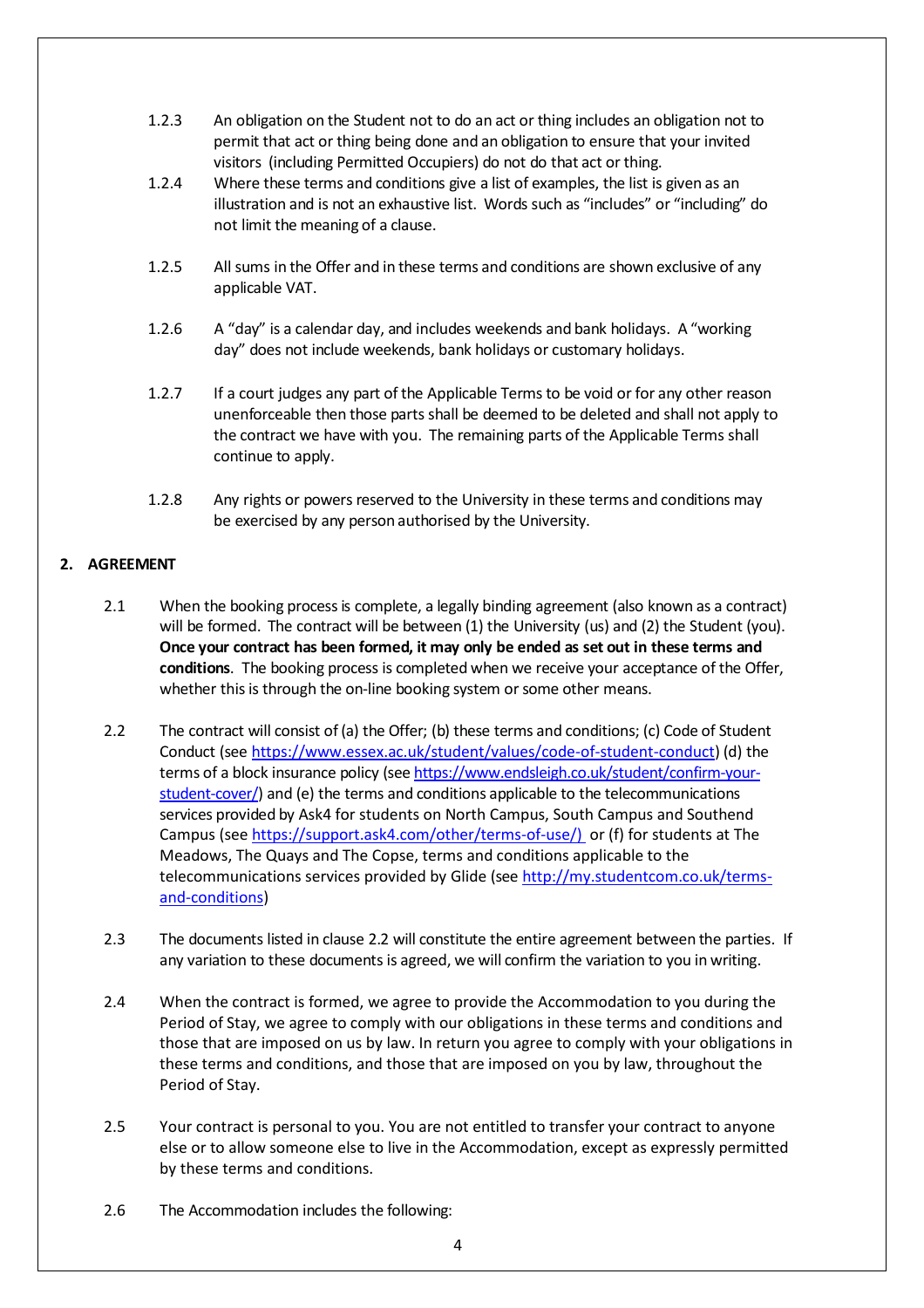- 1.2.3 An obligation on the Student not to do an act or thing includes an obligation not to permit that act or thing being done and an obligation to ensure that your invited visitors (including Permitted Occupiers) do not do that act or thing.
- 1.2.4 Where these terms and conditions give a list of examples, the list is given as an illustration and is not an exhaustive list. Words such as "includes" or "including" do not limit the meaning of a clause.
- 1.2.5 Allsums in the Offer and in these terms and conditions are shown exclusive of any applicable VAT.
- 1.2.6 A "day" is a calendar day, and includes weekends and bank holidays. A "working day" does not include weekends, bank holidays or customary holidays.
- 1.2.7 If a court judges any part of the Applicable Terms to be void or for any other reason unenforceable then those parts shall be deemed to be deleted and shall not apply to the contract we have with you. The remaining parts of the Applicable Terms shall continue to apply.
- <span id="page-3-0"></span>1.2.8 Any rights or powers reserved to the University in these terms and conditions may be exercised by any person authorised by the University.

# **2. AGREEMENT**

- 2.1 When the booking process is complete, a legally binding agreement (also known as a contract) will be formed. The contract will be between (1) the University (us) and (2) the Student (you). **Once your contract has been formed, it may only be ended as set out in these terms and conditions**. The booking process is completed when we receive your acceptance of the Offer, whether this is through the on-line booking system or some other means.
- 2.2 The contract will consist of (a) the Offer; (b) these terms and conditions; (c) Code of Student Conduct (see [https://www.essex.ac.uk/student/values/code-of-student-conduct\)](https://www.essex.ac.uk/student/values/code-of-student-conduct) (d) the terms of a block insurance policy (see [https://www.endsleigh.co.uk/student/confirm-your](http://www.endsleigh.co.uk/)[student-cover/\)](http://www.endsleigh.co.uk/) and (e) the terms and conditions applicable to the telecommunications services provided by Ask4 for students on North Campus, South Campus and Southend Campus (see [https://support.ask4.com/other/terms-of-use/\)](https://support.ask4.com/other/terms-of-use/)) or (f) for students at The Meadows, The Quays and The Copse, terms and conditions applicable to the telecommunications services provided by Glide (see [http://my.studentcom.co.uk/terms](http://my.studentcom.co.uk/terms-and-conditions)[and-conditions\)](http://my.studentcom.co.uk/terms-and-conditions)
- 2.3 The documents listed in clause [2.2](#page-3-0) will constitute the entire agreement between the parties. If any variation to these documents is agreed, we will confirm the variation to you in writing.
- 2.4 When the contract is formed, we agree to provide the Accommodation to you during the Period of Stay, we agree to comply with our obligations in these terms and conditions and those that are imposed on us by law. In return you agree to comply with your obligations in these terms and conditions, and those that are imposed on you by law, throughout the Period of Stay.
- <span id="page-3-1"></span>2.5 Your contract is personal to you. You are not entitled to transfer your contract to anyone else or to allow someone else to live in the Accommodation, except as expressly permitted by these terms and conditions.
- 2.6 The Accommodation includes the following: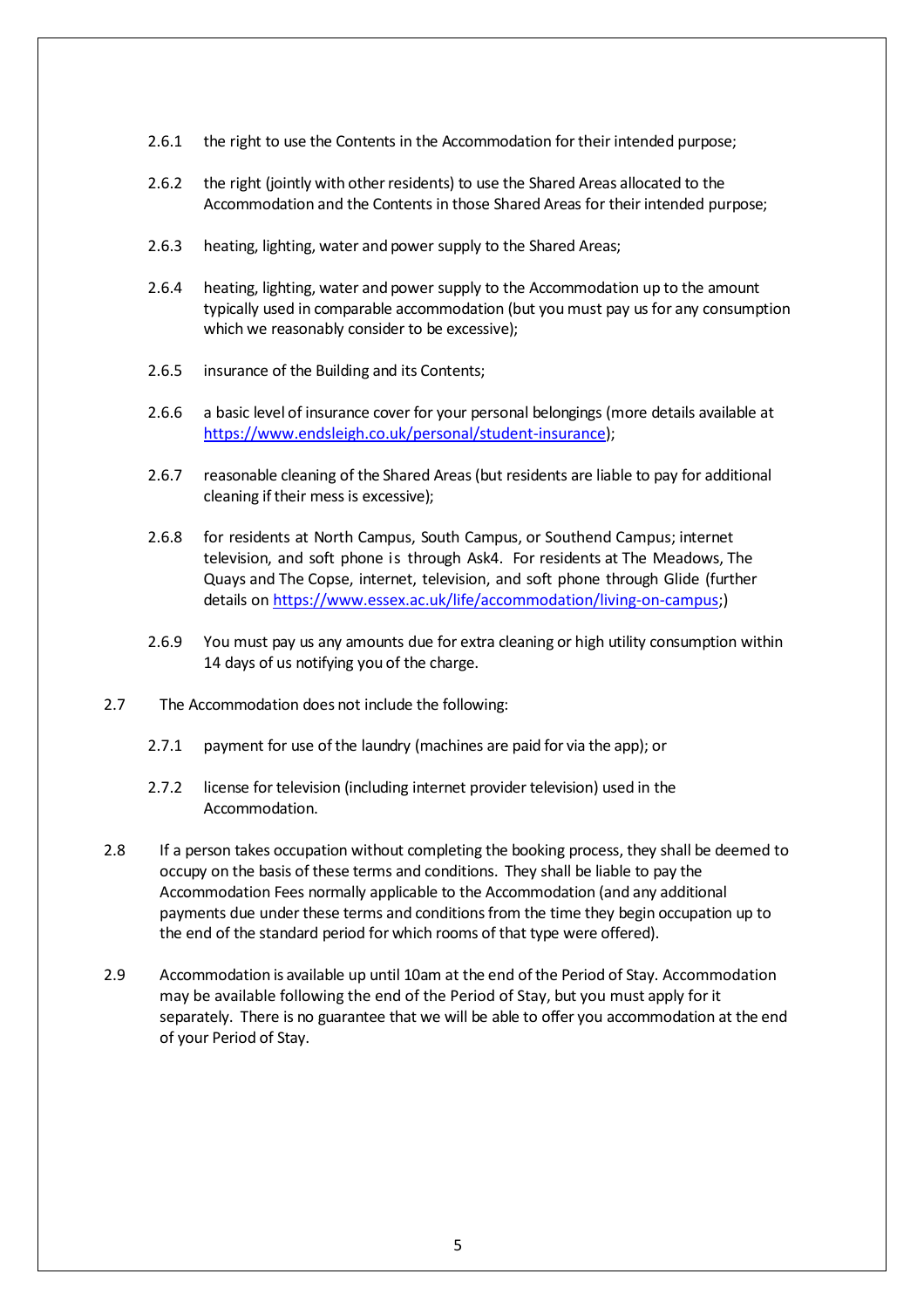- 2.6.1 the right to use the Contents in the Accommodation for their intended purpose;
- 2.6.2 the right (jointly with other residents) to use the Shared Areas allocated to the Accommodation and the Contents in those Shared Areas for their intended purpose;
- <span id="page-4-0"></span>2.6.3 heating, lighting, water and power supply to the Shared Areas;
- 2.6.4 heating, lighting, water and power supply to the Accommodation up to the amount typically used in comparable accommodation (but you must pay us for any consumption which we reasonably consider to be excessive);
- 2.6.5 insurance of the Building and its Contents;
- 2.6.6 a basic level of insurance cover for your personal belongings (more details available at [https://www.endsleigh.co.uk/personal/student-insurance\)](https://www.endsleigh.co.uk/personal/student-insurance);
- 2.6.7 reasonable cleaning of the Shared Areas(but residents are liable to pay for additional cleaning if their mess is excessive);
- 2.6.8 for residents at North Campus, South Campus, or Southend Campus; internet television, and soft phone is through Ask4. For residents at The Meadows, The Quays and The Copse, internet, television, and soft phone through Glide (further details on [https://www.essex.ac.uk/life/accommodation/living-on-campus;](https://www.essex.ac.uk/life/accommodation/living-on-campus))
- 2.6.9 You must pay us any amounts due for extra cleaning or high utility consumption within 14 days of us notifying you of the charge.
- 2.7 The Accommodation does not include the following:
	- 2.7.1 payment for use of the laundry (machines are paid for via the app); or
	- 2.7.2 license for television (including internet provider television) used in the Accommodation.
- 2.8 If a person takes occupation without completing the booking process, they shall be deemed to occupy on the basis of these terms and conditions. They shall be liable to pay the Accommodation Fees normally applicable to the Accommodation (and any additional payments due under these terms and conditionsfrom the time they begin occupation up to the end of the standard period for which rooms of that type were offered).
- 2.9 Accommodation is available up until 10am at the end ofthe Period of Stay. Accommodation may be available following the end of the Period of Stay, but you must apply for it separately. There is no guarantee that we will be able to offer you accommodation at the end of your Period of Stay.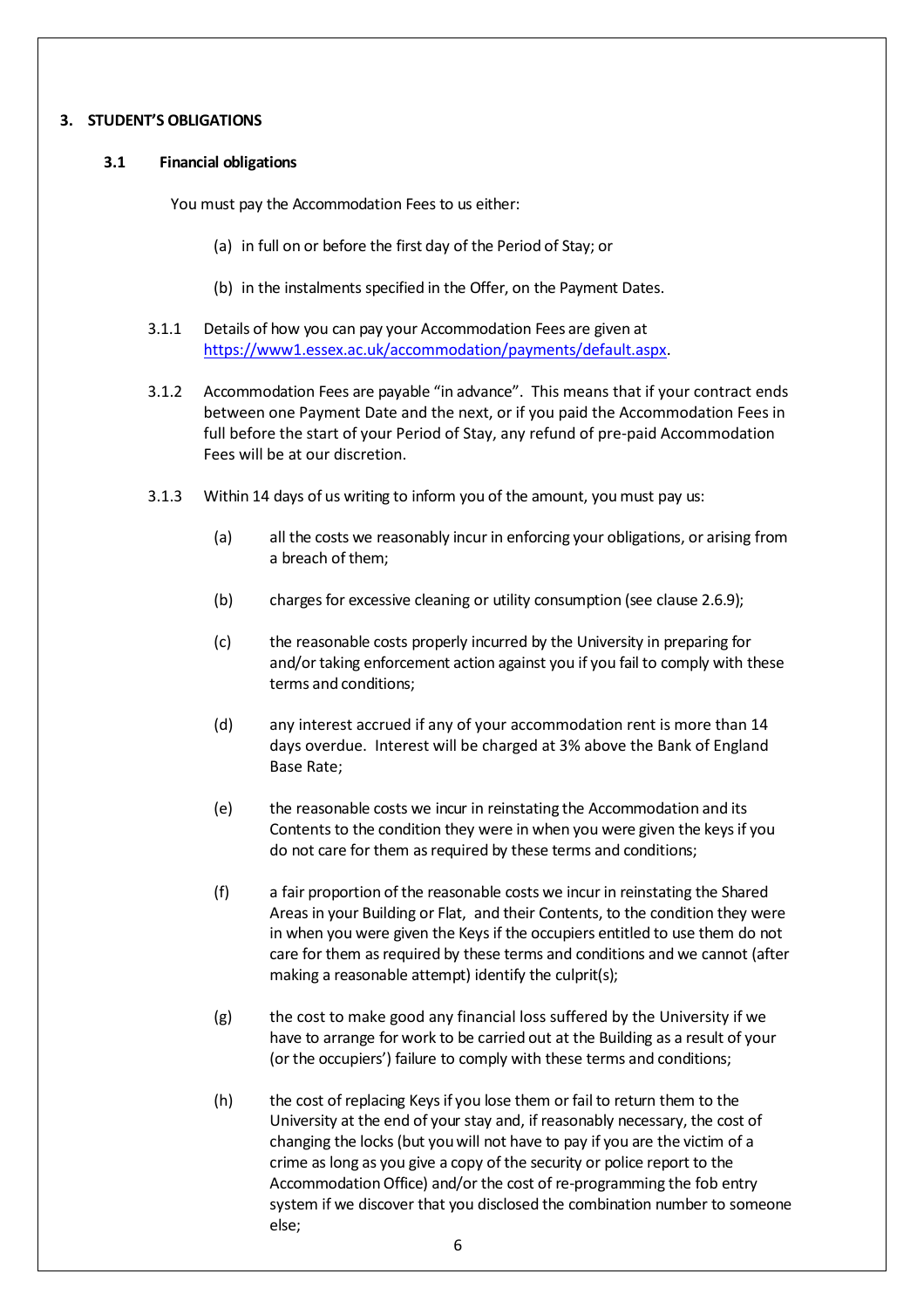## **3. STUDENT'S OBLIGATIONS**

## **3.1 Financial obligations**

You must pay the Accommodation Fees to us either:

- (a) in full on or before the first day of the Period of Stay; or
- (b) in the instalments specified in the Offer, on the Payment Dates.
- 3.1.1 Details of how you can pay your Accommodation Fees are given at [https://www1.essex.ac.uk/accommodation/payments/default.aspx.](http://www.essex.ac.uk/accommodation/payments/default.aspx)
- 3.1.2 Accommodation Fees are payable "in advance". This means that if your contract ends between one Payment Date and the next, or if you paid the Accommodation Fees in full before the start of your Period of Stay, any refund of pre-paid Accommodation Fees will be at our discretion.
- 3.1.3 Within 14 days of us writing to inform you of the amount, youmust pay us:
	- (a) all the costs we reasonably incur in enforcing your obligations, or arising from a breach of them;
	- (b) charges for excessive cleaning or utility consumption (see clause [2.6.9](#page-3-1));
	- (c) the reasonable costs properly incurred by the University in preparing for and/or taking enforcement action against you if you fail to comply with these terms and conditions;
	- (d) any interest accrued if any of your accommodation rent is more than 14 days overdue. Interest will be charged at 3% above the Bank of England Base Rate;
	- (e) the reasonable costs we incur in reinstating the Accommodation and its Contents to the condition they were in when you were given the keysif you do not care for them as required by these terms and conditions;
	- (f) a fair proportion of the reasonable costs we incur in reinstating the Shared Areas in your Building or Flat, and their Contents, to the condition they were in when you were given the Keys if the occupiers entitled to use them do not care for them as required by these terms and conditions and we cannot (after making a reasonable attempt) identify the culprit(s);
	- (g) the cost to make good any financial loss suffered by the University if we have to arrange for work to be carried out at the Building as a result of your (or the occupiers') failure to comply with these terms and conditions;
	- (h) the cost of replacing Keysif you lose them or fail to return them to the University at the end of your stay and, if reasonably necessary, the cost of changing the locks (but youwill not have to pay if you are the victim of a crime as long as you give a copy of the security or police report to the Accommodation Office) and/or the cost of re-programming the fob entry system if we discover that you disclosed the combination number to someone else;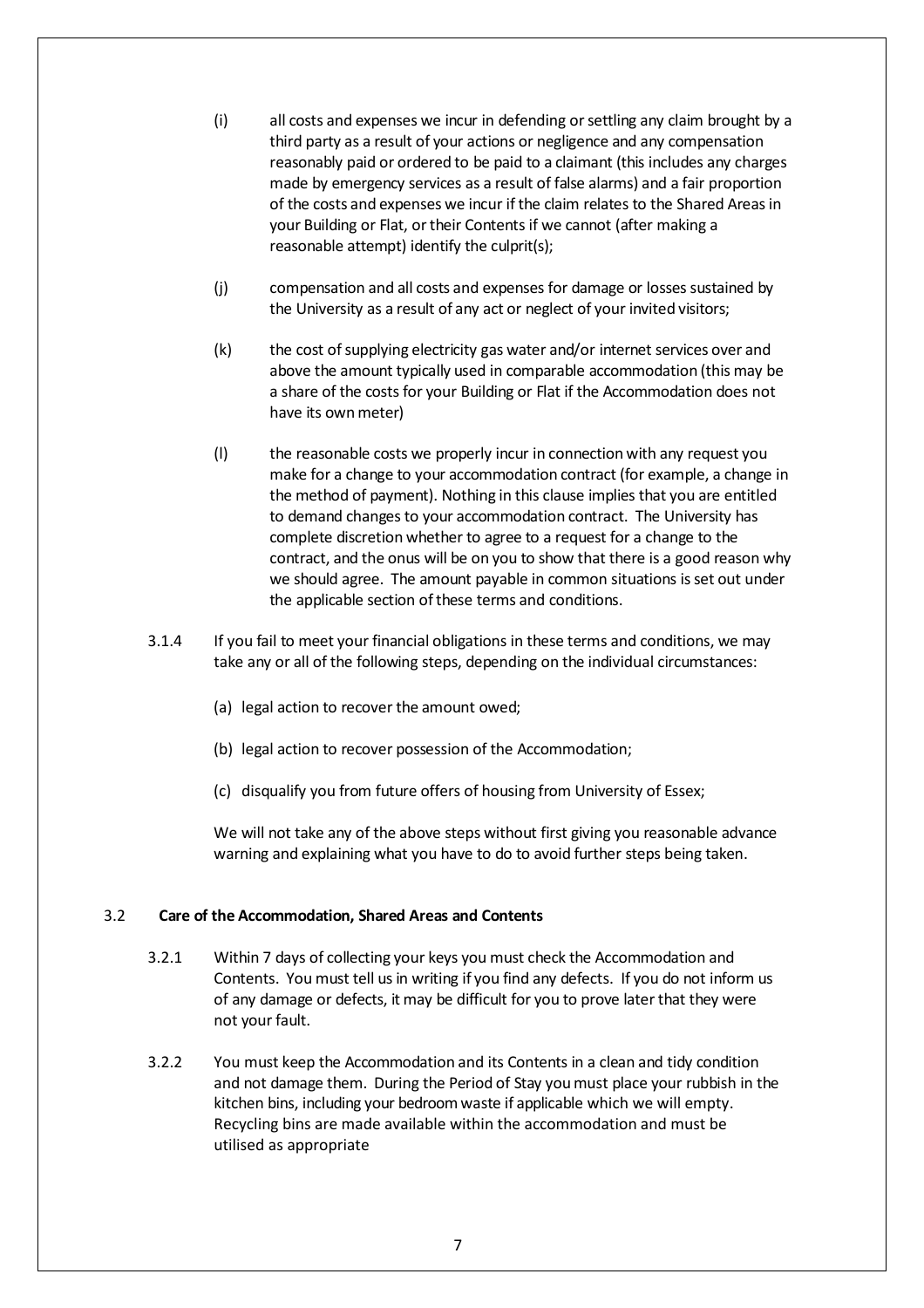- (i) all costs and expenses we incur in defending orsettling any claim brought by a third party as a result of your actions or negligence and any compensation reasonably paid or ordered to be paid to a claimant (this includes any charges made by emergency services as a result of false alarms) and a fair proportion of the costs and expenses we incur if the claim relates to the Shared Areasin your Building or Flat, or their Contents if we cannot (after making a reasonable attempt) identify the culprit(s);
- (j) compensation and all costs and expenses for damage or losses sustained by the University as a result of any act or neglect of your invited visitors;
- (k) the cost of supplying electricity gas water and/or internet services over and above the amount typically used in comparable accommodation (this may be a share of the costs for your Building or Flat if the Accommodation does not have its own meter)
- (l) the reasonable costs we properly incur in connection with any request you make for a change to your accommodation contract (for example, a change in the method of payment). Nothing in this clause implies that you are entitled to demand changes to your accommodation contract. The University has complete discretion whether to agree to a request for a change to the contract, and the onus will be on you to show that there is a good reason why we should agree. The amount payable in common situations isset out under the applicable section of these terms and conditions.
- 3.1.4 If you fail to meet your financial obligations in these terms and conditions, we may take any or all of the following steps, depending on the individual circumstances:
	- (a) legal action to recover the amount owed;
	- (b) legal action to recover possession of the Accommodation;
	- (c) disqualify you from future offers of housing from University of Essex;

We will not take any of the above steps without first giving you reasonable advance warning and explaining what you have to do to avoid further steps being taken.

#### 3.2 **Care of the Accommodation, Shared Areas and Contents**

- 3.2.1 Within 7 days of collecting your keys you must check the Accommodation and Contents. You must tell usin writing if you find any defects. If you do not inform us of any damage or defects, it may be difficult for you to prove later that they were not your fault.
- <span id="page-6-0"></span>3.2.2 You must keep the Accommodation and its Contents in a clean and tidy condition and not damage them. During the Period of Stay youmust place your rubbish in the kitchen bins, including your bedroom waste if applicable which we will empty. Recycling bins are made available within the accommodation and must be utilised as appropriate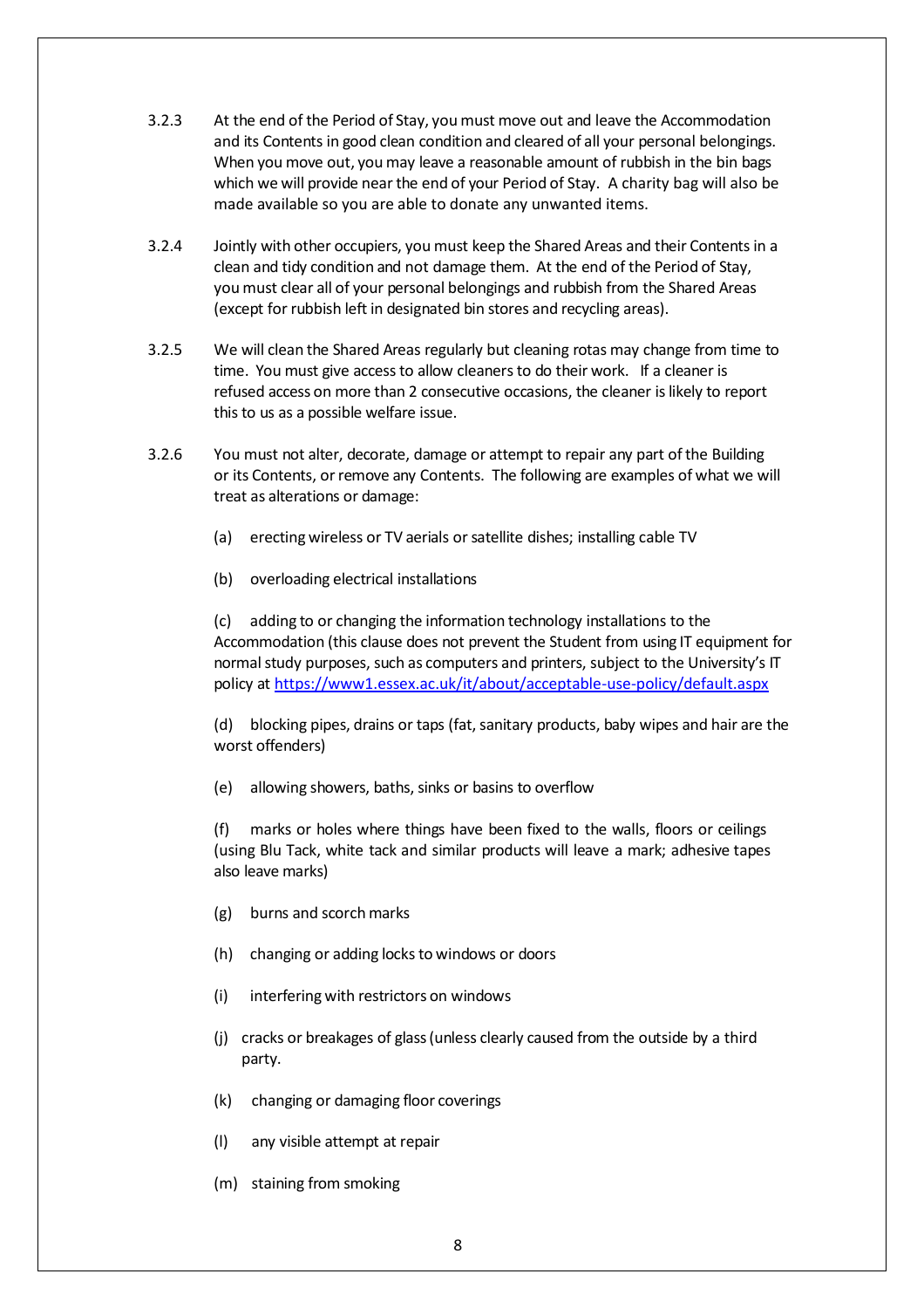- 3.2.3 At the end of the Period of Stay, youmust move out and leave the Accommodation and its Contents in good clean condition and cleared of all your personal belongings. When you move out, you may leave a reasonable amount of rubbish in the bin bags which we will provide nearthe end of your Period of Stay. A charity bag will also be made available so you are able to donate any unwanted items.
- 3.2.4 Jointly with other occupiers, you must keep the Shared Areas and their Contentsin a clean and tidy condition and not damage them. At the end of the Period of Stay, you must clear all of your personal belongings and rubbish from the Shared Areas (except for rubbish left in designated bin stores and recycling areas).
- 3.2.5 We will clean the Shared Areas regularly but cleaning rotas may change from time to time. You must give accessto allow cleanersto do their work. If a cleaner is refused access on more than 2 consecutive occasions, the cleaner islikely to report this to us as a possible welfare issue.
- 3.2.6 You must not alter, decorate, damage or attempt to repair any part of the Building or its Contents, orremove any Contents. The following are examples of what we will treat as alterations or damage:
	- (a) erecting wireless or TV aerials or satellite dishes; installing cable TV
	- (b) overloading electrical installations

(c) adding to or changing the information technology installations to the Accommodation (this clause does not prevent the Student from using IT equipment for normal study purposes, such as computers and printers, subject to the University's IT policy at<https://www1.essex.ac.uk/it/about/acceptable-use-policy/default.aspx>

(d) blocking pipes, drains or taps (fat, sanitary products, baby wipes and hair are the worst offenders)

(e) allowing showers, baths, sinks or basins to overflow

(f) marks or holes where things have been fixed to the walls, floors or ceilings (using Blu Tack, white tack and similar products will leave a mark; adhesive tapes also leave marks)

- (g) burns and scorchmarks
- (h) changing or adding locks to windows or doors
- (i) interfering with restrictors on windows
- (j) cracks or breakages of glass(unless clearly caused from the outside by a third party.
- (k) changing or damaging floor coverings
- (l) any visible attempt at repair
- (m) staining from smoking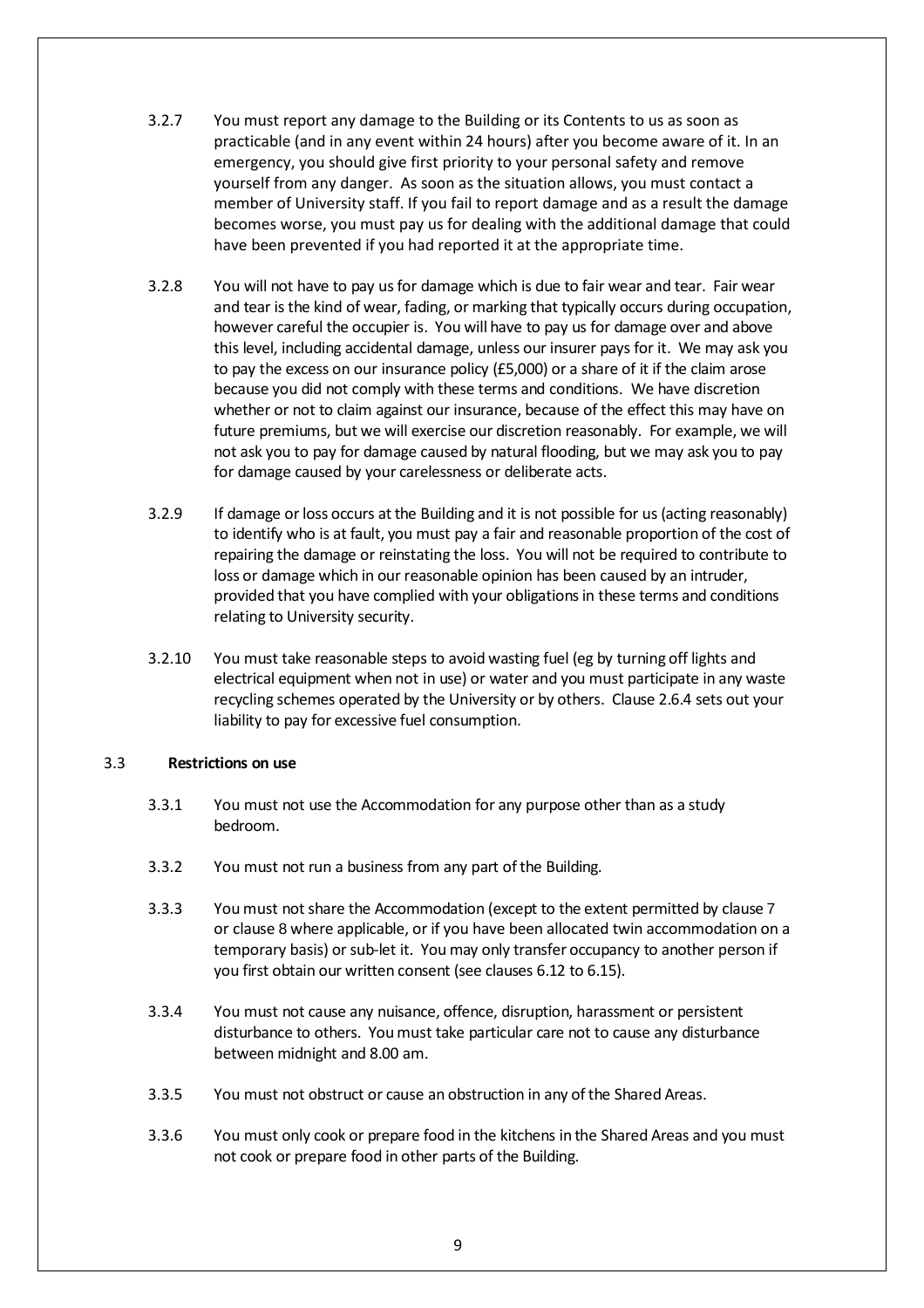- 3.2.7 You must report any damage to the Building or its Contents to us as soon as practicable (and in any event within 24 hours) after you become aware of it. In an emergency, you should give first priority to your personal safety and remove yourself from any danger. As soon as the situation allows, you must contact a member of University staff. If you fail to report damage and as a result the damage becomes worse, you must pay us for dealing with the additional damage that could have been prevented if you had reported it at the appropriate time.
- 3.2.8 You will not have to pay usfor damage which is due to fair wear and tear. Fair wear and tear is the kind of wear, fading, or marking that typically occurs during occupation, however careful the occupier is. You will have to pay us for damage over and above this level, including accidental damage, unless our insurer pays for it. We may ask you to pay the excess on our insurance policy (£5,000) or a share of it if the claim arose because you did not comply with these terms and conditions. We have discretion whether or not to claim against our insurance, because of the effect this may have on future premiums, but we will exercise our discretion reasonably. For example, we will not ask you to pay for damage caused by natural flooding, but we may ask you to pay for damage caused by your carelessness or deliberate acts.
- 3.2.9 If damage orloss occurs at the Building and it is not possible for us (acting reasonably) to identify who is at fault, you must pay a fair and reasonable proportion of the cost of repairing the damage or reinstating the loss. You will not be required to contribute to loss or damage which in our reasonable opinion has been caused by an intruder, provided that you have complied with your obligationsin these terms and conditions relating to University security.
- 3.2.10 You must take reasonable steps to avoid wasting fuel (eg by turning off lights and electrical equipment when not in use) or water and you must participate in any waste recycling schemes operated by the University or by others. Clause [2.6.4](#page-4-0) sets out your liability to pay for excessive fuel consumption.

### 3.3 **Restrictions on use**

- 3.3.1 You must not use the Accommodation for any purpose other than as a study bedroom.
- 3.3.2 You must not run a business from any part ofthe Building.
- 3.3.3 Youmust notshare the Accommodation (except to the extent permitted by clause [7](#page-22-0) or clause [8](#page-23-0) where applicable, or if you have been allocated twin accommodation on a temporary basis) or sub-let it. You may only transfer occupancy to another person if you first obtain our written consent (see clauses [6.12](#page-21-0) to [6.15\)](#page-22-1).
- 3.3.4 You must not cause any nuisance, offence, disruption, harassment or persistent disturbance to others. Youmust take particular care not to cause any disturbance between midnight and 8.00 am.
- 3.3.5 You must not obstruct or cause an obstruction in any ofthe Shared Areas.
- 3.3.6 You must only cook or prepare food in the kitchens in the Shared Areas and you must not cook or prepare food in other parts of the Building.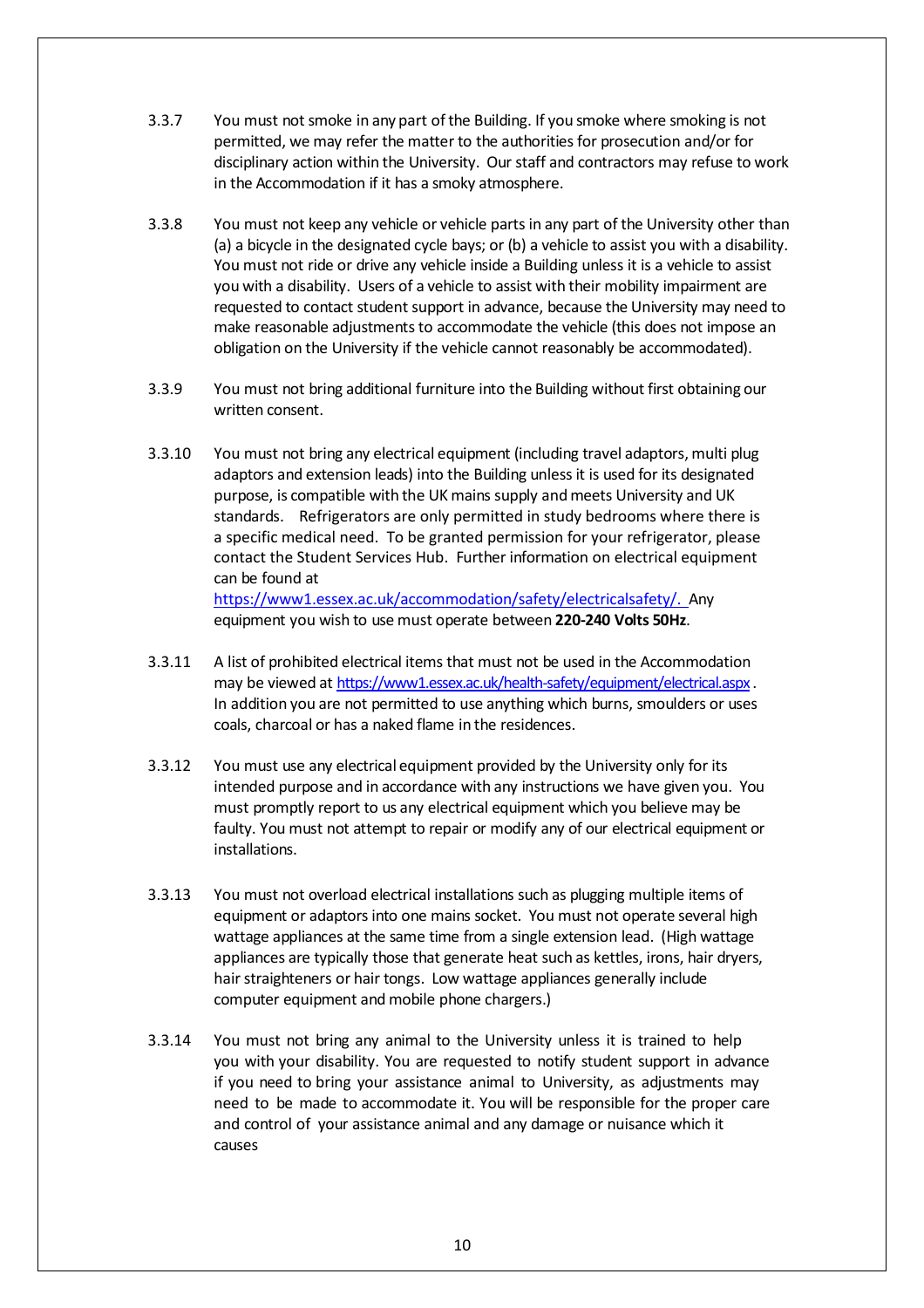- 3.3.7 You must not smoke in any part ofthe Building. If you smoke where smoking is not permitted, we may refer the matter to the authorities for prosecution and/or for disciplinary action within the University. Our staff and contractors may refuse to work in the Accommodation if it has a smoky atmosphere.
- 3.3.8 You must not keep any vehicle or vehicle partsin any part of the University other than (a) a bicycle in the designated cycle bays; or (b) a vehicle to assist you with a disability. You must not ride or drive any vehicle inside a Building unless it is a vehicle to assist you with a disability. Users of a vehicle to assist with their mobility impairment are requested to contact student support in advance, because the University may need to make reasonable adjustments to accommodate the vehicle (this does not impose an obligation on the University if the vehicle cannot reasonably be accommodated).
- 3.3.9 You must not bring additional furniture into the Building without first obtaining our written consent.
- 3.3.10 You must not bring any electrical equipment (including travel adaptors, multi plug adaptors and extension leads) into the Building unlessit is used for its designated purpose, is compatible with the UK mains supply andmeets University and UK standards. Refrigerators are only permitted in study bedrooms where there is a specific medical need. To be granted permission for your refrigerator, please contact the Student Services Hub. Further information on electrical equipment can be found at [https://www1.essex.ac.uk/accommodation/safety/electricalsafety/.](https://www1.essex.ac.uk/accommodation/safety/electricalsafety/) Any equipment you wish to use must operate between **220-240 Volts 50Hz**.
- 3.3.11 A list of prohibited electrical items that must not be used in the Accommodation may be viewed at <https://www1.essex.ac.uk/health-safety/equipment/electrical.aspx> . In addition you are not permitted to use anything which burns, smoulders or uses coals, charcoal or has a naked flame in the residences.
- 3.3.12 You must use any electrical equipment provided by the University only for its intended purpose and in accordance with any instructions we have given you. You must promptly report to us any electrical equipment which you believe may be faulty. You must not attempt to repair or modify any of our electrical equipment or installations.
- 3.3.13 You must not overload electrical installations such as plugging multiple items of equipment or adaptors into one mains socket. You must not operate several high wattage appliances at the same time from a single extension lead. (High wattage appliances are typically those that generate heat such as kettles, irons, hair dryers, hair straighteners or hair tongs. Low wattage appliances generally include computer equipment and mobile phone chargers.)
- 3.3.14 You must not bring any animal to the University unless it is trained to help you with your disability. You are requested to notify student support in advance if you need to bring your assistance animal to University, as adjustments may need to be made to accommodate it. You will be responsible for the proper care and control of your assistance animal and any damage or nuisance which it causes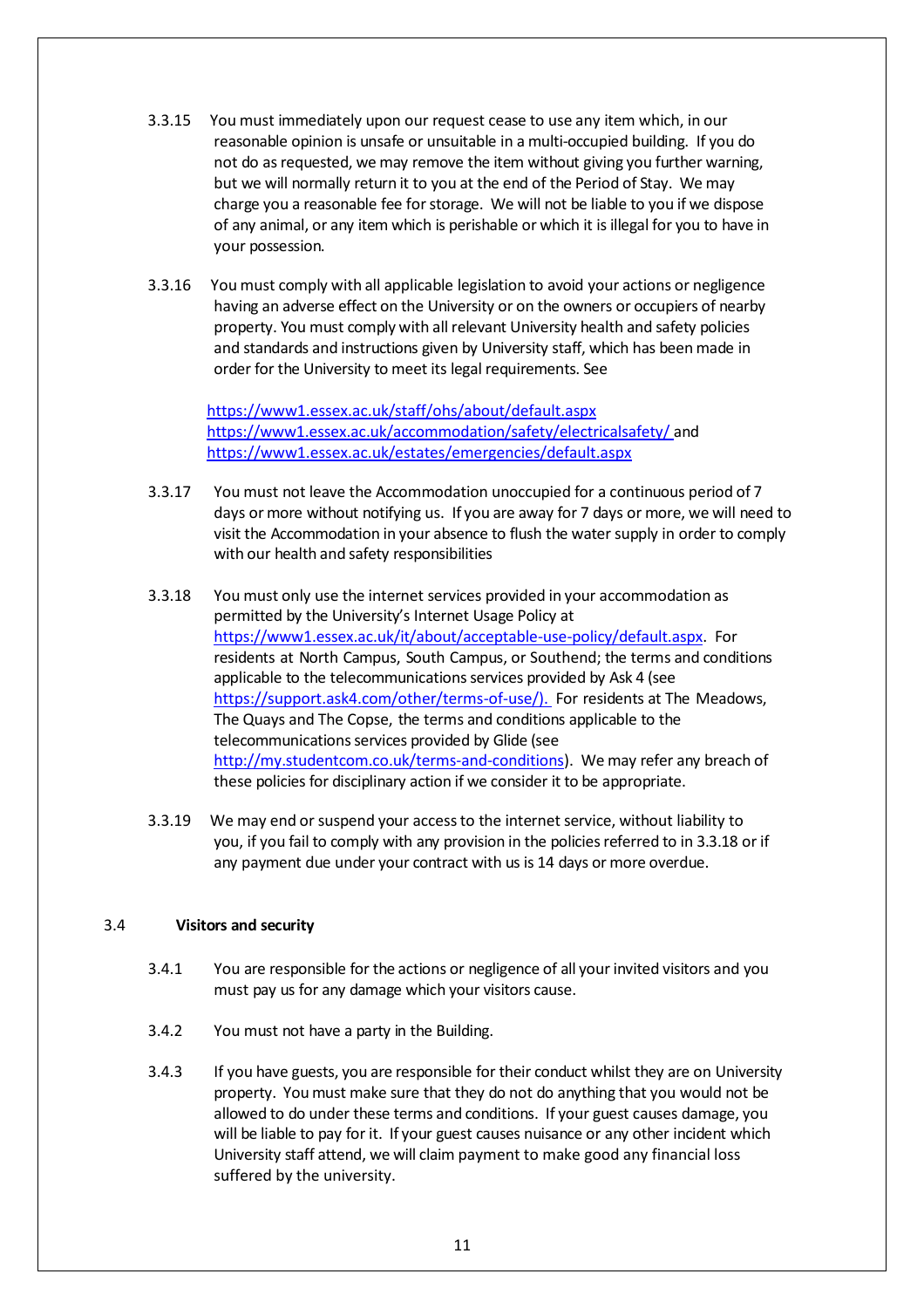- 3.3.15 You must immediately upon our request cease to use any item which, in our reasonable opinion is unsafe or unsuitable in a multi-occupied building. If you do not do as requested, we may remove the item without giving you further warning, but we will normally return it to you at the end of the Period of Stay. We may charge you a reasonable fee for storage. We will not be liable to you if we dispose of any animal, or any item which is perishable or which it is illegal for you to have in your possession.
- 3.3.16 You must comply with all applicable legislation to avoid your actions or negligence having an adverse effect on the University or on the owners or occupiers of nearby property. You must comply with all relevant University health and safety policies and standards and instructions given by University staff, which has beenmade in order for the University to meet its legal requirements. See

<https://www1.essex.ac.uk/staff/ohs/about/default.aspx> <https://www1.essex.ac.uk/accommodation/safety/electricalsafety/> and <https://www1.essex.ac.uk/estates/emergencies/default.aspx>

- 3.3.17 You must not leave the Accommodation unoccupied for a continuous period of 7 days or more without notifying us. If you are away for 7 days or more, we will need to visit the Accommodation in your absence to flush the water supply in order to comply with our health and safety responsibilities
- 3.3.18 You must only use the internet services provided in your accommodation as permitted by the University's Internet Usage Policy at [https://www1.essex.ac.uk/it/about/acceptable-use-policy/default.aspx.](https://www1.essex.ac.uk/it/about/acceptable-use-policy/default.aspx) For residents at North Campus, South Campus, or Southend; the terms and conditions applicable to the telecommunications services provided by Ask 4 (see [https://support.ask4.com/other/terms-of-use/\).](https://support.ask4.com/other/terms-of-use/).) For residents at The Meadows, The Quays and The Copse, the terms and conditions applicable to the telecommunications services provided by Glide (see [http://my.studentcom.co.uk/terms-and-conditions\)](http://my.studentcom.co.uk/terms-and-conditions). We may refer any breach of these policies for disciplinary action if we consider it to be appropriate.
- 3.3.19 We may end orsuspend your accessto the internet service, without liability to you, if you fail to comply with any provision in the policies referred to in 3.3.18 or if any payment due under your contract with us is 14 days or more overdue.

# 3.4 **Visitors and security**

- 3.4.1 You are responsible for the actions or negligence of all your invited visitors and you must pay us for any damage which your visitors cause.
- 3.4.2 You must not have a party in the Building.
- 3.4.3 If you have guests, you are responsible for their conduct whilst they are on University property. Youmust make sure that they do not do anything that you would not be allowed to do under these terms and conditions. If your guest causes damage, you will be liable to pay for it. If your guest causes nuisance or any other incident which University staff attend, we will claim payment to make good any financial loss suffered by the university.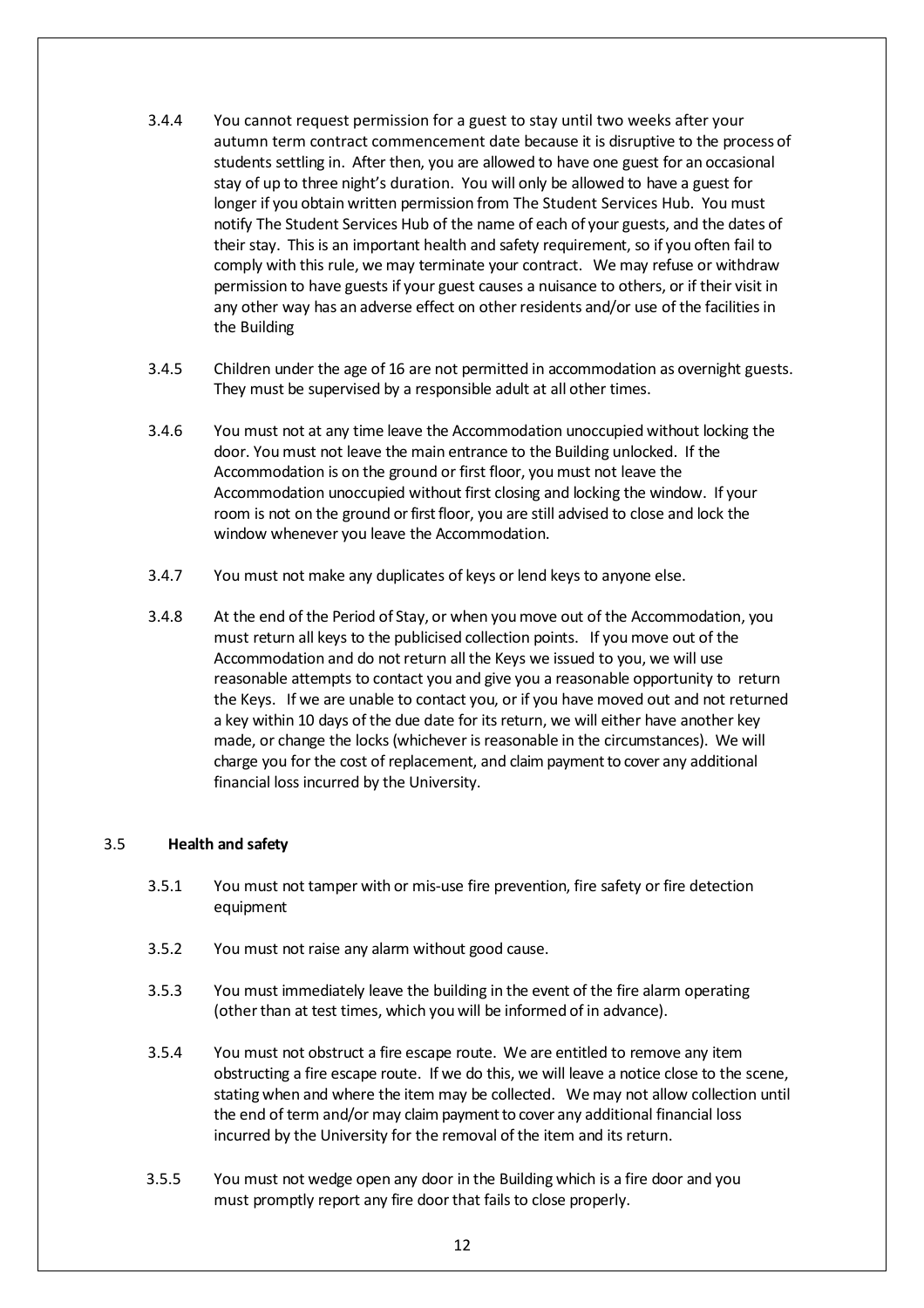- 3.4.4 You cannot request permission for a guest to stay until two weeks after your autumn term contract commencement date because it is disruptive to the process of students settling in. After then, you are allowed to have one guest for an occasional stay of up to three night's duration. You will only be allowed to have a guest for longer if you obtain written permission from The Student Services Hub. You must notify The Student Services Hub of the name of each of your guests, and the dates of their stay. This is an important health and safety requirement, so if you often fail to comply with this rule, we may terminate your contract. We may refuse or withdraw permission to have guests if your guest causes a nuisance to others, or if their visit in any other way has an adverse effect on other residents and/or use of the facilities in the Building
- 3.4.5 Children under the age of 16 are not permitted in accommodation as overnight guests. They must be supervised by a responsible adult at all other times.
- 3.4.6 You must not at any time leave the Accommodation unoccupied without locking the door. You must not leave the main entrance to the Building unlocked. If the Accommodation is on the ground or first floor, youmust not leave the Accommodation unoccupied without first closing and locking the window. If your room is not on the ground or first floor, you are still advised to close and lock the window whenever you leave the Accommodation.
- 3.4.7 You must not make any duplicates of keys or lend keys to anyone else.
- 3.4.8 At the end of the Period of Stay, or when youmove out of the Accommodation, you must return all keys to the publicised collection points. If youmove out of the Accommodation and do not return all the Keys we issued to you, we will use reasonable attempts to contact you and give you a reasonable opportunity to return the Keys. If we are unable to contact you, or if you have moved out and not returned a key within 10 days of the due date for its return, we will either have another key made, or change the locks (whichever is reasonable in the circumstances). We will charge you for the cost of replacement, and claim payment to cover any additional financial loss incurred by the University.

### <span id="page-11-0"></span>3.5 **Health and safety**

- 3.5.1 You must not tamper with or mis-use fire prevention, fire safety or fire detection equipment
- 3.5.2 You must not raise any alarm without good cause.
- 3.5.3 You must immediately leave the building in the event of the fire alarm operating (other than at test times, which you will be informed of in advance).
- 3.5.4 You must not obstruct a fire escape route. We are entitled to remove any item obstructing a fire escape route. If we do this, we will leave a notice close to the scene, stating when and where the item may be collected. We may not allow collection until the end of term and/or may claim payment to cover any additional financial loss incurred by the University for the removal of the item and its return.
- 3.5.5 You must not wedge open any door in the Building which is a fire door and you must promptly report any fire door that fails to close properly.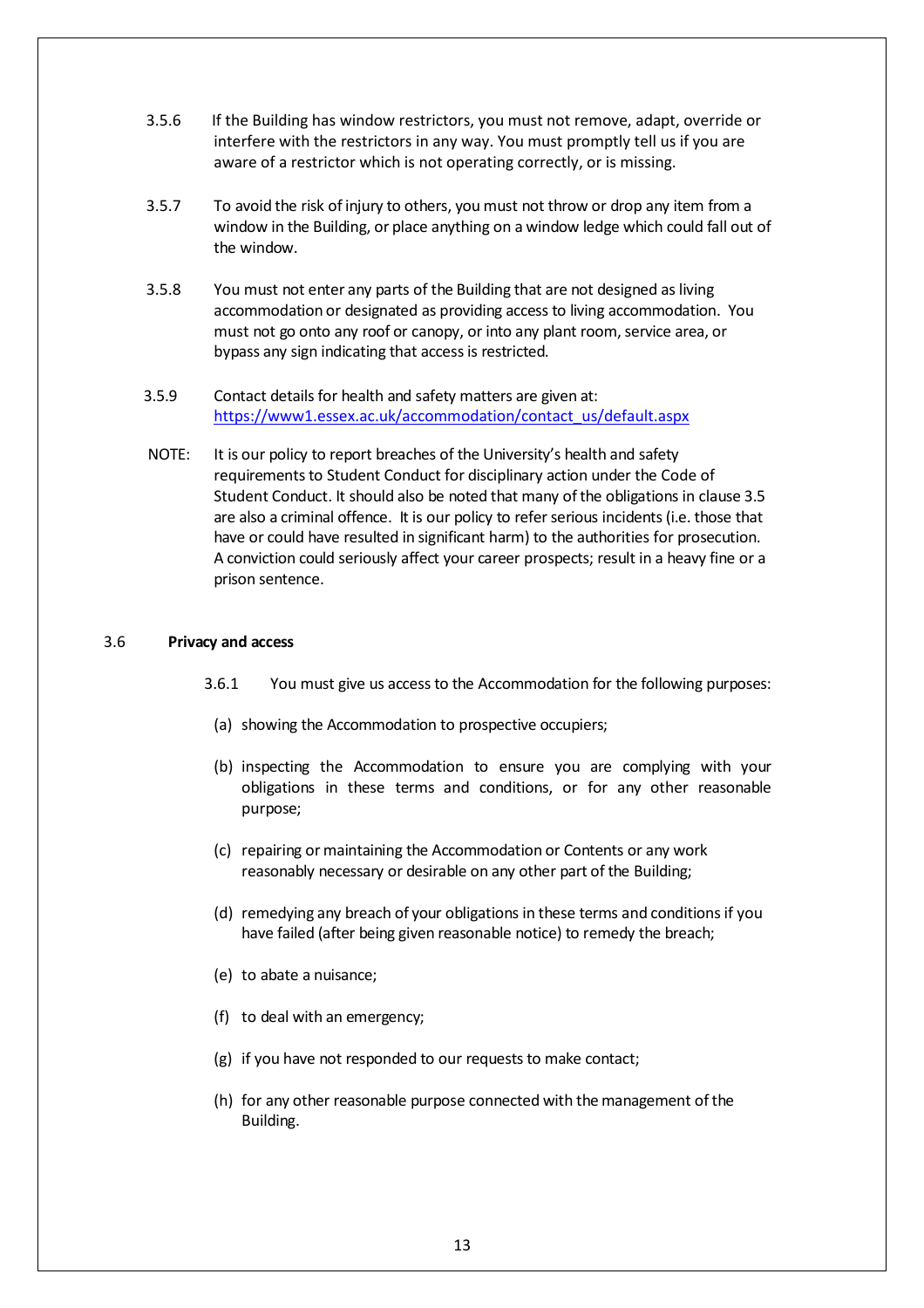- 3.5.6 If the Building has window restrictors, you must not remove, adapt, override or interfere with the restrictors in any way. You must promptly tell us if you are aware of a restrictor which is not operating correctly, or is missing.
- 3.5.7 To avoid the risk of injury to others, you must not throw or drop any item from a window in the Building, or place anything on a window ledge which could fall out of the window.
- 3.5.8 You must not enter any parts of the Building that are not designed as living accommodation or designated as providing access to living accommodation. You must not go onto any roof or canopy, or into any plant room, service area, or bypass any sign indicating that access is restricted.
- 3.5.9 Contact details for health and safety matters are given at: [https://www1.essex.ac.uk/accommodation/contact\\_us/default.aspx](https://www1.essex.ac.uk/accommodation/contact_us/default.aspx)
- NOTE: It is our policy to report breaches of the University's health and safety requirements to Student Conduct for disciplinary action under the Code of Student Conduct. It should also be noted that many of the obligations in clause [3.5](#page-11-0) are also a criminal offence. It is our policy to referserious incidents(i.e. those that have or could have resulted in significant harm) to the authorities for prosecution. A conviction could seriously affect your career prospects; result in a heavy fine or a prison sentence.

#### 3.6 **Privacy and access**

- 3.6.1 You must give us accessto the Accommodation for the following purposes:
- (a) showing the Accommodation to prospective occupiers;
- (b) inspecting the Accommodation to ensure you are complying with your obligations in these terms and conditions, or for any other reasonable purpose;
- (c) repairing or maintaining the Accommodation or Contents or any work reasonably necessary or desirable on any other part of the Building;
- (d) remedying any breach of your obligations in these terms and conditionsif you have failed (after being given reasonable notice) to remedy the breach;
- (e) to abate a nuisance;
- (f) to deal with an emergency;
- (g) if you have not responded to our requests to make contact;
- (h) for any other reasonable purpose connected with the management of the Building.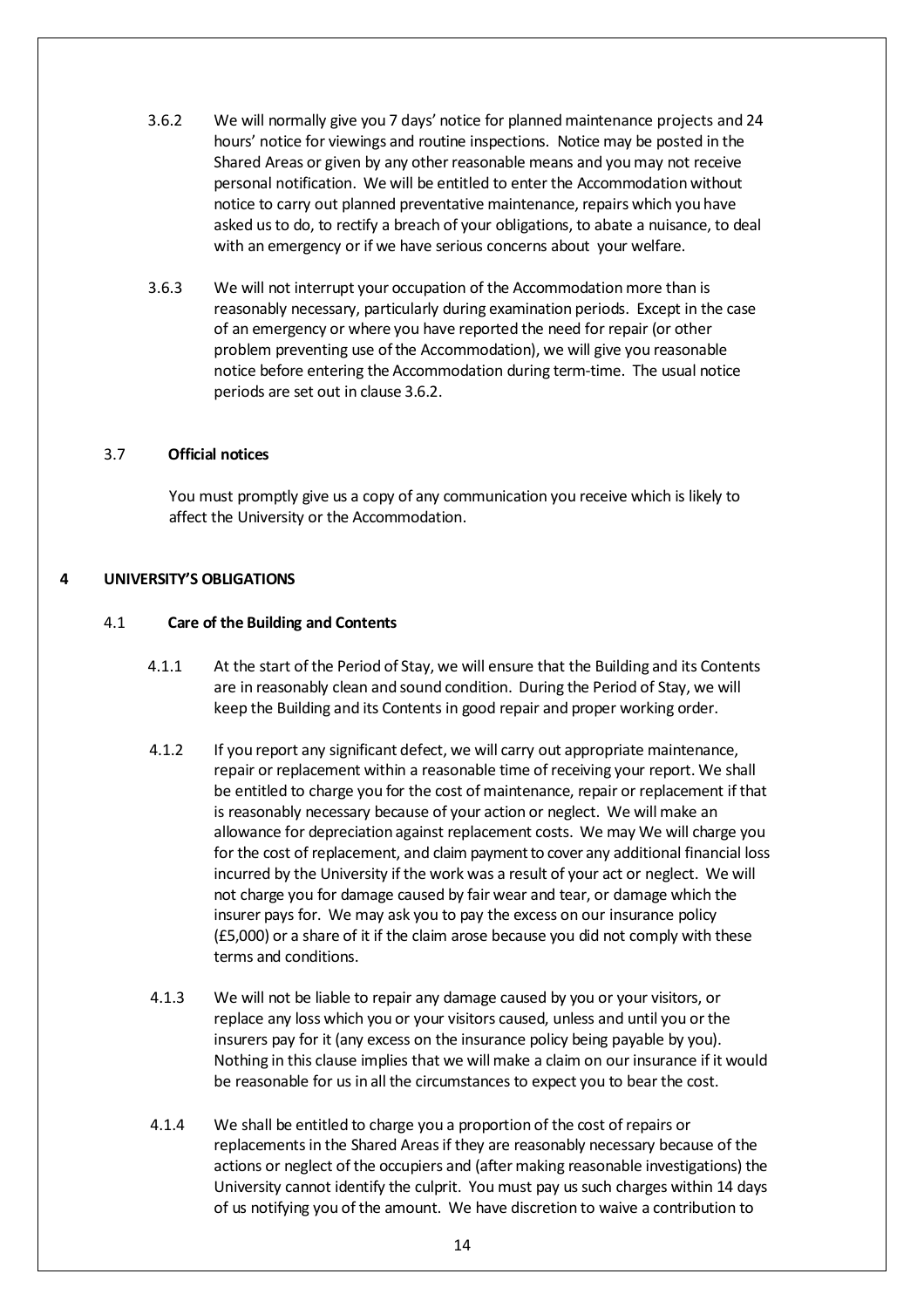- <span id="page-13-0"></span>3.6.2 We will normally give you 7 days' notice for plannedmaintenance projects and 24 hours' notice for viewings and routine inspections. Notice may be posted in the Shared Areas or given by any other reasonable means and you may not receive personal notification. We will be entitled to enter the Accommodation without notice to carry out planned preventative maintenance, repairs which you have asked usto do, to rectify a breach of your obligations, to abate a nuisance, to deal with an emergency or if we have serious concerns about your welfare.
- 3.6.3 We will not interrupt your occupation of the Accommodation more than is reasonably necessary, particularly during examination periods. Except in the case of an emergency or where you have reported the need for repair (or other problem preventing use of the Accommodation), we will give you reasonable notice before entering the Accommodation during term-time. The usual notice periods are set out in clause [3.6.2.](#page-13-0)

### 3.7 **Official notices**

You must promptly give us a copy of any communication you receive which is likely to affect the University or the Accommodation.

# **4 UNIVERSITY'S OBLIGATIONS**

### 4.1 **Care of the Building and Contents**

- 4.1.1 At the start of the Period of Stay, we will ensure that the Building and its Contents are in reasonably clean and sound condition. During the Period of Stay, we will keep the Building and its Contents in good repair and proper working order.
- 4.1.2 If you report any significant defect, we will carry out appropriate maintenance, repair or replacement within a reasonable time of receiving your report. We shall be entitled to charge you for the cost of maintenance, repair or replacement if that is reasonably necessary because of your action or neglect. We will make an allowance for depreciation against replacement costs. We may We will charge you for the cost of replacement, and claim payment to cover any additional financial loss incurred by the University if the work was a result of your act or neglect. We will not charge you for damage caused by fair wear and tear, or damage which the insurer pays for. We may ask you to pay the excess on our insurance policy (£5,000) or a share of it if the claim arose because you did not comply with these terms and conditions.
- 4.1.3 We will not be liable to repair any damage caused by you or your visitors, or replace any loss which you or your visitors caused, unless and until you or the insurers pay for it (any excess on the insurance policy being payable by you). Nothing in this clause implies that we will make a claim on our insurance if it would be reasonable for us in all the circumstances to expect you to bear the cost.
- 4.1.4 We shall be entitled to charge you a proportion of the cost ofrepairs or replacementsin the Shared Areasif they are reasonably necessary because of the actions or neglect of the occupiers and (after making reasonable investigations) the University cannot identify the culprit. You must pay us such charges within 14 days of us notifying you of the amount. We have discretion to waive a contribution to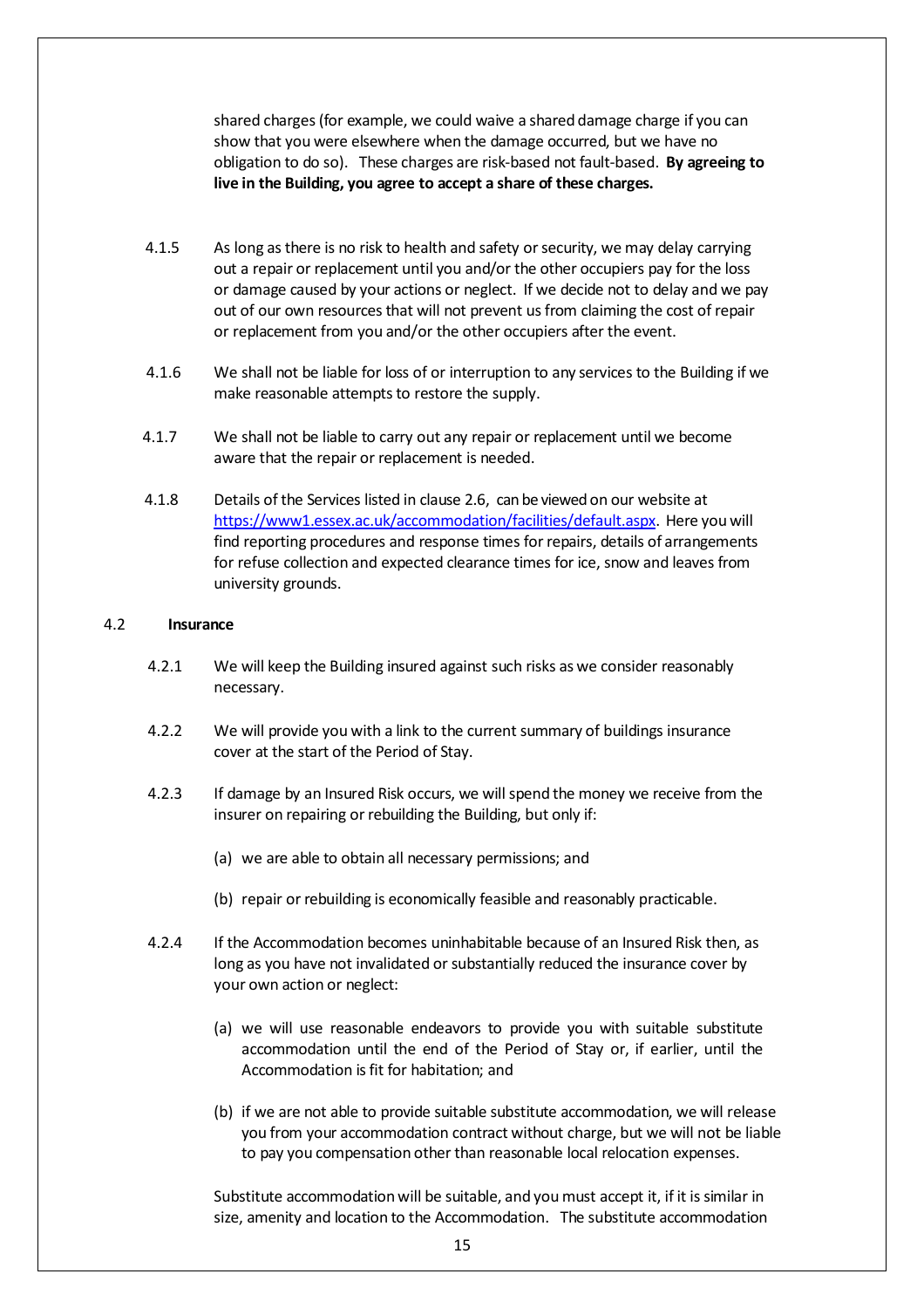shared charges(for example, we could waive a shared damage charge if you can show that you were elsewhere when the damage occurred, but we have no obligation to do so). These charges are risk-based not fault-based. **By agreeing to live in the Building, you agree to accept a share of these charges.**

- 4.1.5 As long as there is no risk to health and safety or security, we may delay carrying out a repair or replacement until you and/or the other occupiers pay for the loss or damage caused by your actions or neglect. If we decide not to delay and we pay out of our own resources that will not prevent us from claiming the cost of repair or replacement from you and/or the other occupiers after the event.
- 4.1.6 We shall not be liable for loss of or interruption to any services to the Building if we make reasonable attempts to restore the supply.
- 4.1.7 We shall not be liable to carry out any repair or replacement until we become aware that the repair or replacement is needed.
- 4.1.8 Details of the Services listed in clause [2.6,](#page-3-1) can be viewed on our website at [https://www1.essex.ac.uk/accommodation/facilities/default.aspx.](https://www1.essex.ac.uk/accommodation/facilities/default.aspx) Here you will find reporting procedures and response times for repairs, details of arrangements for refuse collection and expected clearance times for ice, snow and leaves from university grounds.

### 4.2 **Insurance**

- 4.2.1 We will keep the Building insured against such risks as we consider reasonably necessary.
- <span id="page-14-0"></span>4.2.2 We will provide you with a link to the current summary of buildings insurance cover at the start of the Period of Stay.
- 4.2.3 If damage by an Insured Risk occurs, we willspend the money we receive from the insurer on repairing or rebuilding the Building, but only if:
	- (a) we are able to obtain all necessary permissions; and
	- (b) repair or rebuilding is economically feasible and reasonably practicable.
- 4.2.4 If the Accommodation becomes uninhabitable because of an Insured Risk then, as long as you have not invalidated or substantially reduced the insurance cover by your own action or neglect:
	- (a) we will use reasonable endeavors to provide you with suitable substitute accommodation until the end of the Period of Stay or, if earlier, until the Accommodation is fit for habitation; and
	- (b) if we are not able to provide suitable substitute accommodation, we will release you from your accommodation contract without charge, but we will not be liable to pay you compensation other than reasonable local relocation expenses.

Substitute accommodation will be suitable, and you must accept it, if it is similar in size, amenity and location to the Accommodation. The substitute accommodation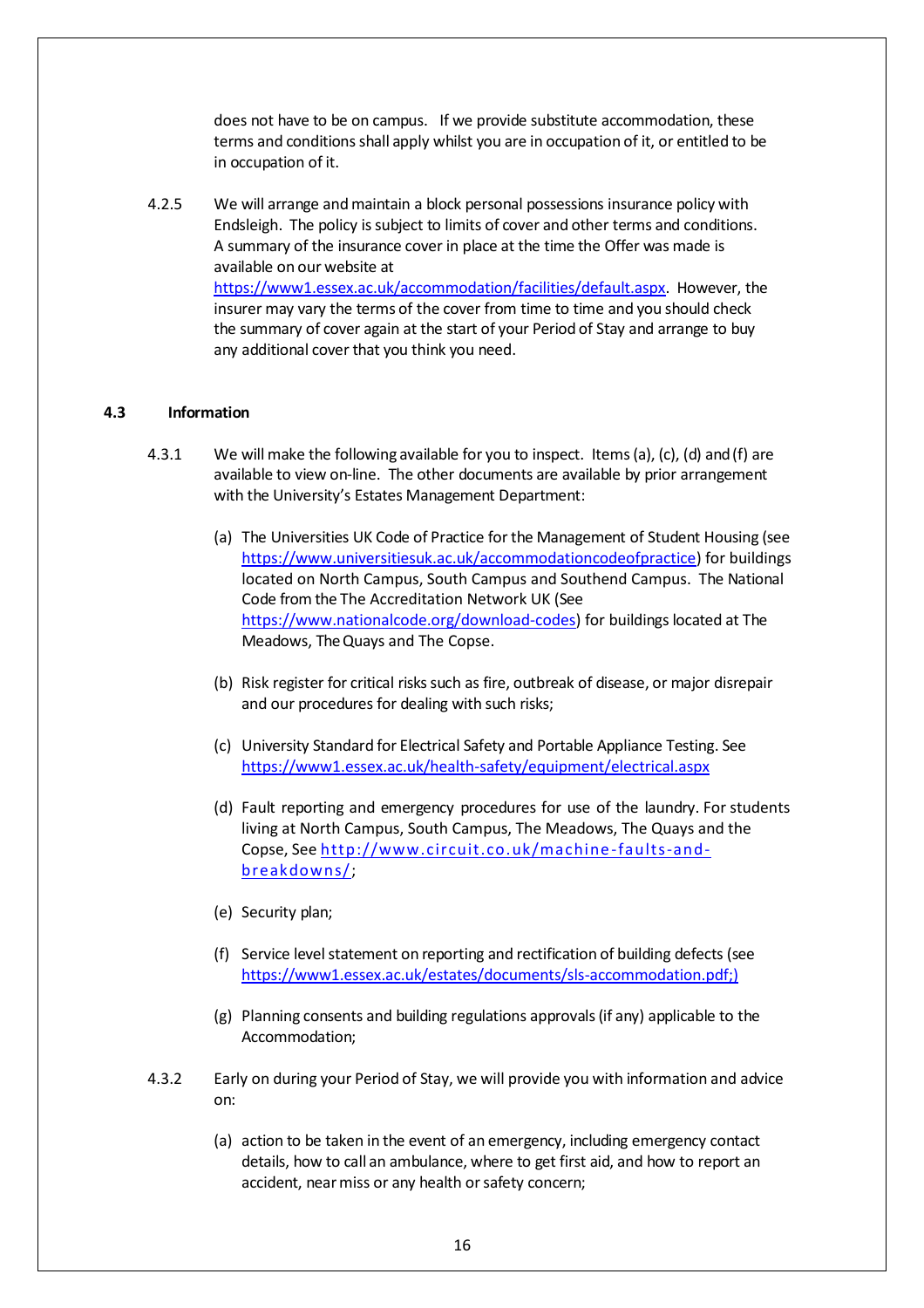does not have to be on campus. If we provide substitute accommodation, these terms and conditionsshall apply whilst you are in occupation of it, or entitled to be in occupation of it.

<span id="page-15-0"></span>4.2.5 We will arrange andmaintain a block personal possessions insurance policy with Endsleigh. The policy issubject to limits of cover and other terms and conditions. A summary of the insurance cover in place at the time the Offer was made is available on our website a[t](http://www.essex.ac.uk/accommodation/facilities/default.aspx)  [https://www1.essex.ac.uk/accommodation/facilities/default.aspx.](http://www.essex.ac.uk/accommodation/facilities/default.aspx) However, the insurer may vary the terms of the cover from time to time and you should check the summary of cover again at the start of your Period of Stay and arrange to buy any additional cover that you think you need.

### **4.3 Information**

- 4.3.1 We will make the following available for you to inspect. Items(a), (c), (d) and(f) are available to view on-line. The other documents are available by prior arrangement with the University's Estates Management Department:
	- (a) The Universities UK Code of Practice for the Management of Student Housing (see [https://www.universitiesuk.ac.uk/accommodationcodeofpractice\)](https://www.universitiesuk.ac.uk/accommodationcodeofpractice) for buildings located on North Campus, South Campus and Southend Campus. The National Code from the The Accreditation Network UK (See [https://www.nationalcode.org/download-codes\)](https://www.nationalcode.org/download-codes) for buildings located at The Meadows, The Quays and The Copse.
	- (b) Risk register for critical risks such as fire, outbreak of disease, or major disrepair and our procedures for dealing with such risks;
	- (c) University Standard for Electrical Safety and Portable Appliance Testing. See <https://www1.essex.ac.uk/health-safety/equipment/electrical.aspx>
	- (d) Fault reporting and emergency procedures for use of the laundry. For students living at North Campus, South Campus, The Meadows, The Quays and the Copse, Se[e http://www.circuit.co.uk/machine-faults-and](http://www.circuit.co.uk/machine-faults-and-breakdowns/)[breakdowns/;](http://www.circuit.co.uk/machine-faults-and-breakdowns/)
	- (e) Security plan;
	- (f) Service level statement on reporting and rectification of building defects (see [https://www1.essex.ac.uk/estates/documents/sls-accommodation.pdf;\)](https://www1.essex.ac.uk/estates/documents/sls-accommodation.pdf;)
	- (g) Planning consents and building regulations approvals(if any) applicable to the Accommodation;
- 4.3.2 Early on during your Period of Stay, we will provide you with information and advice on:
	- (a) action to be taken in the event of an emergency, including emergency contact details, how to call an ambulance, where to get first aid, and how to report an accident, near miss or any health or safety concern;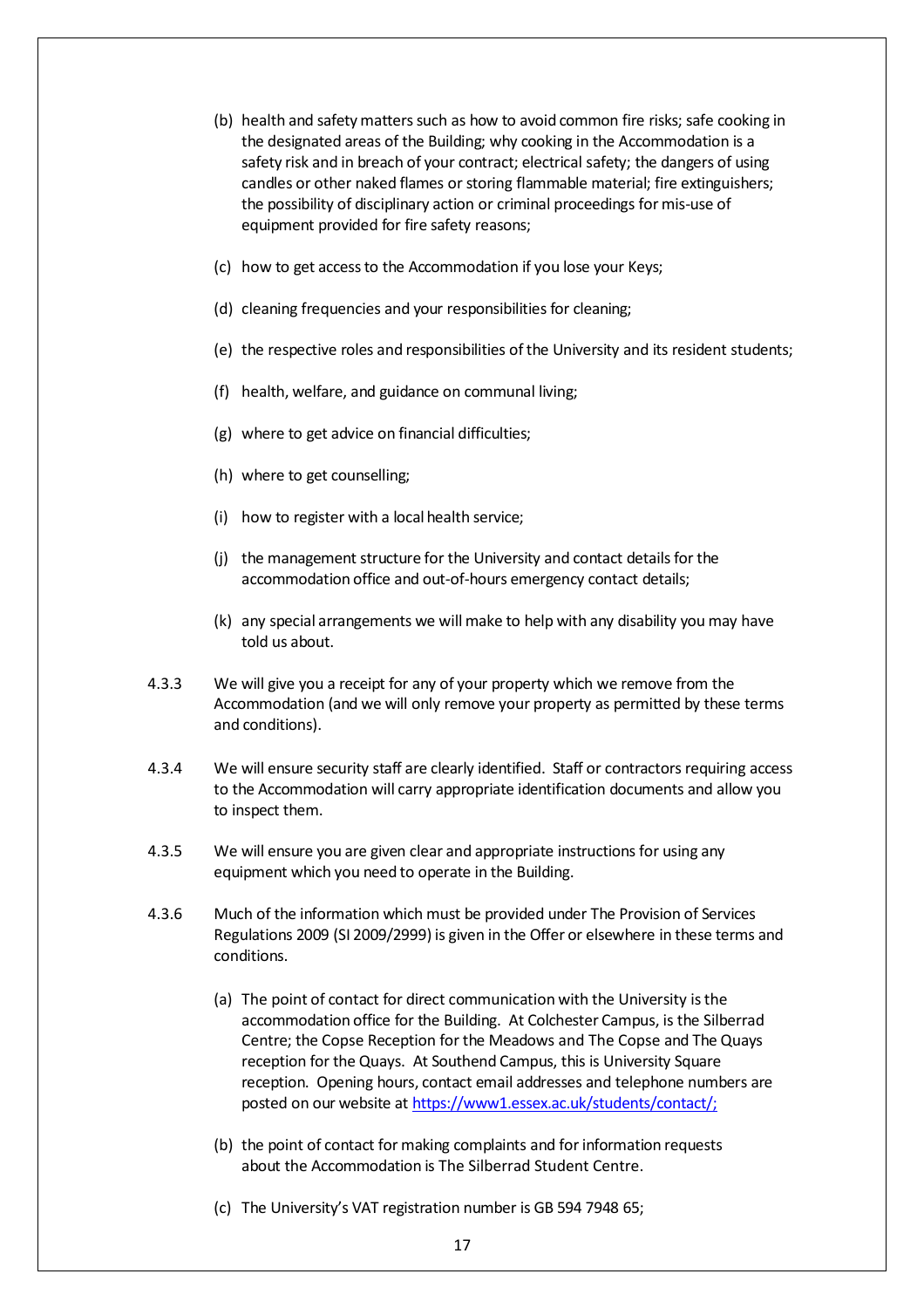- (b) health and safety matters such as how to avoid common fire risks; safe cooking in the designated areas of the Building; why cooking in the Accommodation is a safety risk and in breach of your contract; electrical safety; the dangers of using candles or other naked flames or storing flammable material; fire extinguishers; the possibility of disciplinary action or criminal proceedings for mis-use of equipment provided for fire safety reasons;
- (c) how to get accessto the Accommodation if you lose your Keys;
- (d) cleaning frequencies and your responsibilities for cleaning;
- (e) the respective roles and responsibilities of the University and its resident students;
- (f) health, welfare, and guidance on communal living;
- (g) where to get advice on financial difficulties;
- (h) where to get counselling;
- (i) how to register with a local health service;
- (j) the management structure for the University and contact details for the accommodation office and out-of-hours emergency contact details;
- (k) any special arrangements we will make to help with any disability you may have told us about.
- 4.3.3 We will give you a receipt for any of your property which we remove from the Accommodation (and we will only remove your property as permitted by these terms and conditions).
- 4.3.4 We will ensure security staff are clearly identified. Staff or contractors requiring access to the Accommodation will carry appropriate identification documents and allow you to inspect them.
- 4.3.5 We will ensure you are given clear and appropriate instructions for using any equipment which you need to operate in the Building.
- 4.3.6 Much of the information which must be provided under The Provision of Services Regulations 2009 (SI 2009/2999) is given in the Offer or elsewhere in these terms and conditions.
	- (a) The point of contact for direct communication with the University isthe accommodation office for the Building. At Colchester Campus, is the Silberrad Centre; the Copse Reception for the Meadows and The Copse and The Quays reception for the Quays. At Southend Campus, this is University Square reception. Opening hours, contact email addresses and telephone numbers are posted on our website a[t https://www1.essex.ac.uk/students/contact/;](https://www1.essex.ac.uk/students/contact/)
	- (b) the point of contact for making complaints and for information requests about the Accommodation is The Silberrad Student Centre.
	- (c) The University's VAT registration number is GB 594 7948 65;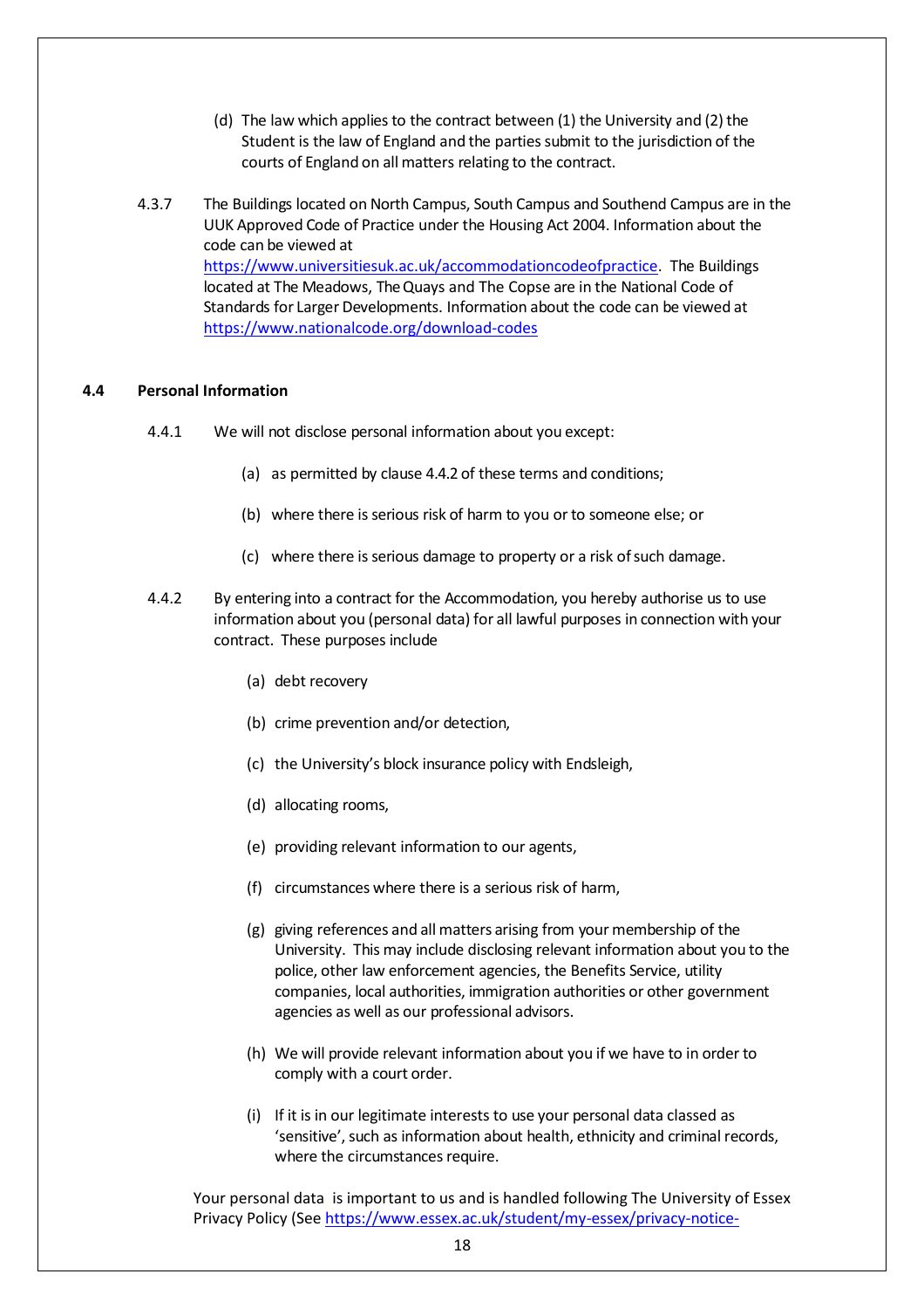- (d) The law which applies to the contract between  $(1)$  the University and  $(2)$  the Student is the law of England and the parties submit to the jurisdiction of the courts of England on all matters relating to the contract.
- 4.3.7 The Buildings located on North Campus, South Campus and Southend Campus are in the UUK Approved Code of Practice under the Housing Act 2004. Information about the code can be viewed at [https://www.universitiesuk.ac.uk/accommodationcodeofpractice.](https://www.universitiesuk.ac.uk/accommodationcodeofpractice) The Buildings located at The Meadows, The Quays and The Copse are in the National Code of Standards for Larger Developments. Information about the code can be viewed at <https://www.nationalcode.org/download-codes>

# **4.4 Personal Information**

- 4.4.1 We will not disclose personal information about you except:
	- (a) as permitted by clause [4.4.2](#page-18-0) of these terms and conditions;
	- (b) where there is serious risk of harm to you or to someone else; or
	- (c) where there isserious damage to property or a risk ofsuch damage.
- 4.4.2 By entering into a contract for the Accommodation, you hereby authorise us to use information about you (personal data) for all lawful purposes in connection with your contract. These purposes include
	- (a) debt recovery
	- (b) crime prevention and/or detection,
	- (c) the University's block insurance policy with Endsleigh,
	- (d) allocating rooms,
	- (e) providing relevant information to our agents,
	- (f) circumstances where there is a serious risk of harm,
	- (g) giving references and all matters arising from your membership of the University. This may include disclosing relevant information about you to the police, other law enforcement agencies, the Benefits Service, utility companies, local authorities, immigration authorities or other government agencies as well as our professional advisors.
	- (h) We will provide relevant information about you if we have to in order to comply with a court order.
	- (i) If it is in our legitimate interests to use your personal data classed as 'sensitive', such as information about health, ethnicity and criminal records, where the circumstances require.

Your personal data is important to us and is handled following The University of Essex Privacy Policy (Se[e https://www.essex.ac.uk/student/my-essex/privacy-notice-](https://www.essex.ac.uk/student/my-essex/privacy-notice-students)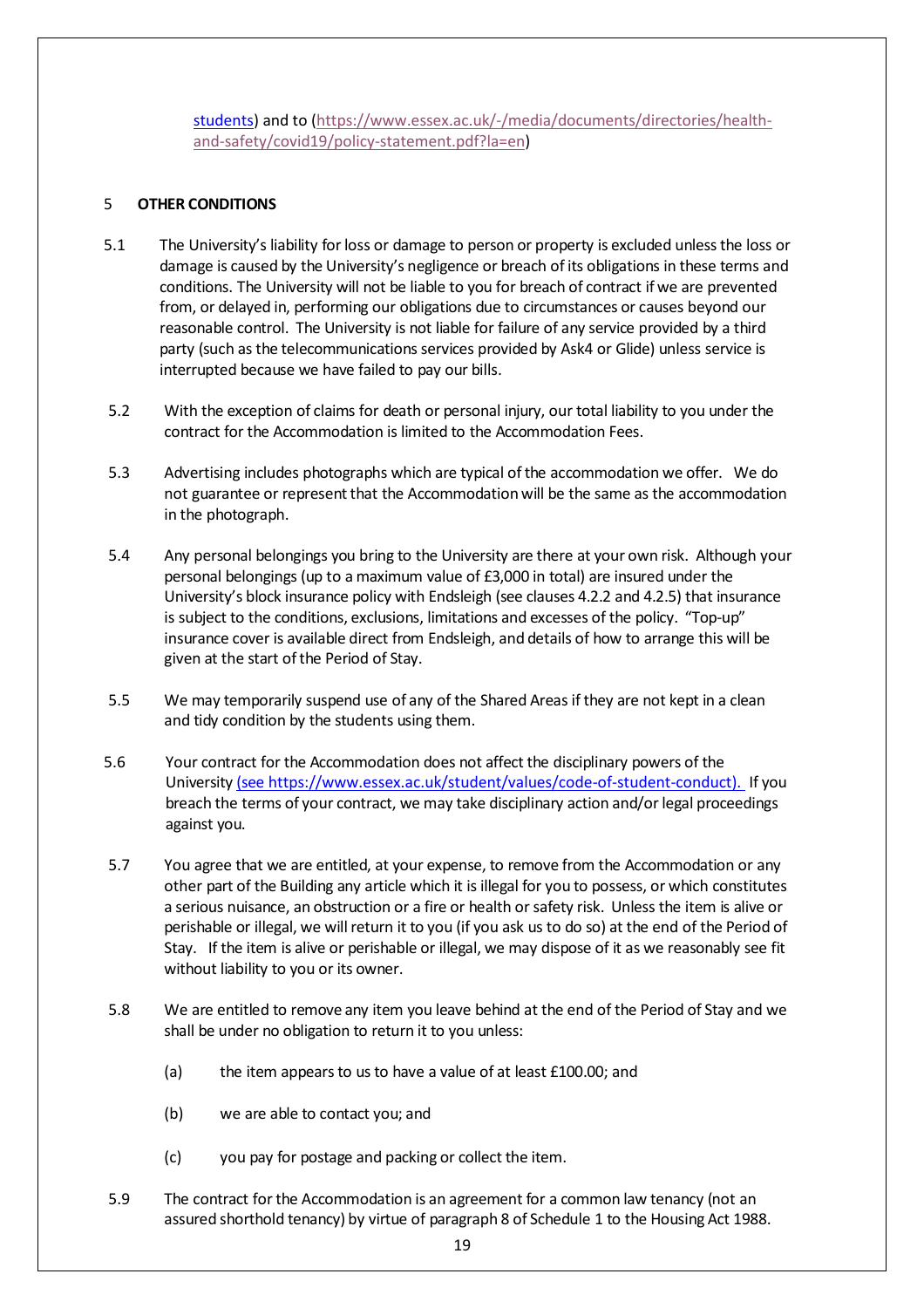<span id="page-18-0"></span>[students\)](https://www.essex.ac.uk/student/my-essex/privacy-notice-students) and to [\(https://www.essex.ac.uk/-/media/documents/directories/health](https://linkprotect.cudasvc.com/url?a=https%3a%2f%2fwww.essex.ac.uk%2f-%2fmedia%2fdocuments%2fdirectories%2fhealth-and-safety%2fcovid19%2fpolicy-statement.pdf%3fla%3den&c=E,1,06olyMO5kJ33hjBAZmri_vCQxodOczph8H3l8uyqcyCoSJc1VF2JYC5OoRG4V_It3i2HSLeHko09vNqs_9-vtlcwPAi_RbbquQ2vFdQTsnp6OV7sBQ,,&typo=1)[and-safety/covid19/policy-statement.pdf?la=en\)](https://linkprotect.cudasvc.com/url?a=https%3a%2f%2fwww.essex.ac.uk%2f-%2fmedia%2fdocuments%2fdirectories%2fhealth-and-safety%2fcovid19%2fpolicy-statement.pdf%3fla%3den&c=E,1,06olyMO5kJ33hjBAZmri_vCQxodOczph8H3l8uyqcyCoSJc1VF2JYC5OoRG4V_It3i2HSLeHko09vNqs_9-vtlcwPAi_RbbquQ2vFdQTsnp6OV7sBQ,,&typo=1)

## 5 **OTHER CONDITIONS**

- 5.1 The University's liability forloss or damage to person or property is excluded unlessthe loss or damage is caused by the University's negligence or breach of its obligations in these terms and conditions. The University will not be liable to you for breach of contract if we are prevented from, or delayed in, performing our obligations due to circumstances or causes beyond our reasonable control. The University is not liable for failure of any service provided by a third party (such as the telecommunications services provided by Ask4 or Glide) unless service is interrupted because we have failed to pay our bills.
- 5.2 With the exception of claims for death or personal injury, our total liability to you under the contract for the Accommodation is limited to the Accommodation Fees.
- 5.3 Advertising includes photographs which are typical ofthe accommodation we offer. We do not guarantee or represent that the Accommodation will be the same as the accommodation in the photograph.
- 5.4 Any personal belongings you bring to the University are there at your own risk. Although your personal belongings (up to a maximum value of £3,000 in total) are insured under the University's block insurance policy with Endsleigh (see clauses [4.2.2](#page-14-0) and [4.2.5\)](#page-15-0) that insurance is subject to the conditions, exclusions, limitations and excesses of the policy. "Top-up" insurance cover is available direct from Endsleigh, and details of how to arrange this will be given at the start of the Period of Stay.
- 5.5 We may temporarily suspend use of any of the Shared Areas if they are not kept in a clean and tidy condition by the students using them.
- 5.6 Your contract for the Accommodation does not affect the disciplinary powers of the University (see [https://www.essex.ac.uk/student/values/code-of-student-conduct\).](file:///C:/Box/Accom%20-%20Shared/Shared%20Information/Terms%20and%20Conditions/Terms%20and%20Conditions%202122/(see%20https:/www.essex.ac.uk/student/values/code-of-student-conduct)) If you breach the terms of your contract, we may take disciplinary action and/or legal proceedings against you.
- 5.7 You agree that we are entitled, at your expense, to remove from the Accommodation or any other part of the Building any article which it is illegal for you to possess, or which constitutes a serious nuisance, an obstruction or a fire or health or safety risk. Unless the item is alive or perishable or illegal, we willreturn it to you (if you ask us to do so) at the end of the Period of Stay. If the item is alive or perishable or illegal, we may dispose of it as we reasonably see fit without liability to you or its owner.
- 5.8 We are entitled to remove any item you leave behind at the end of the Period of Stay and we shall be under no obligation to return it to you unless:
	- (a) the item appears to us to have a value of at least  $£100.00;$  and
	- (b) we are able to contact you; and
	- (c) you pay for postage and packing or collect the item.
- 5.9 The contract forthe Accommodation is an agreement for a common law tenancy (not an assured shorthold tenancy) by virtue of paragraph 8 of Schedule 1 to the Housing Act 1988.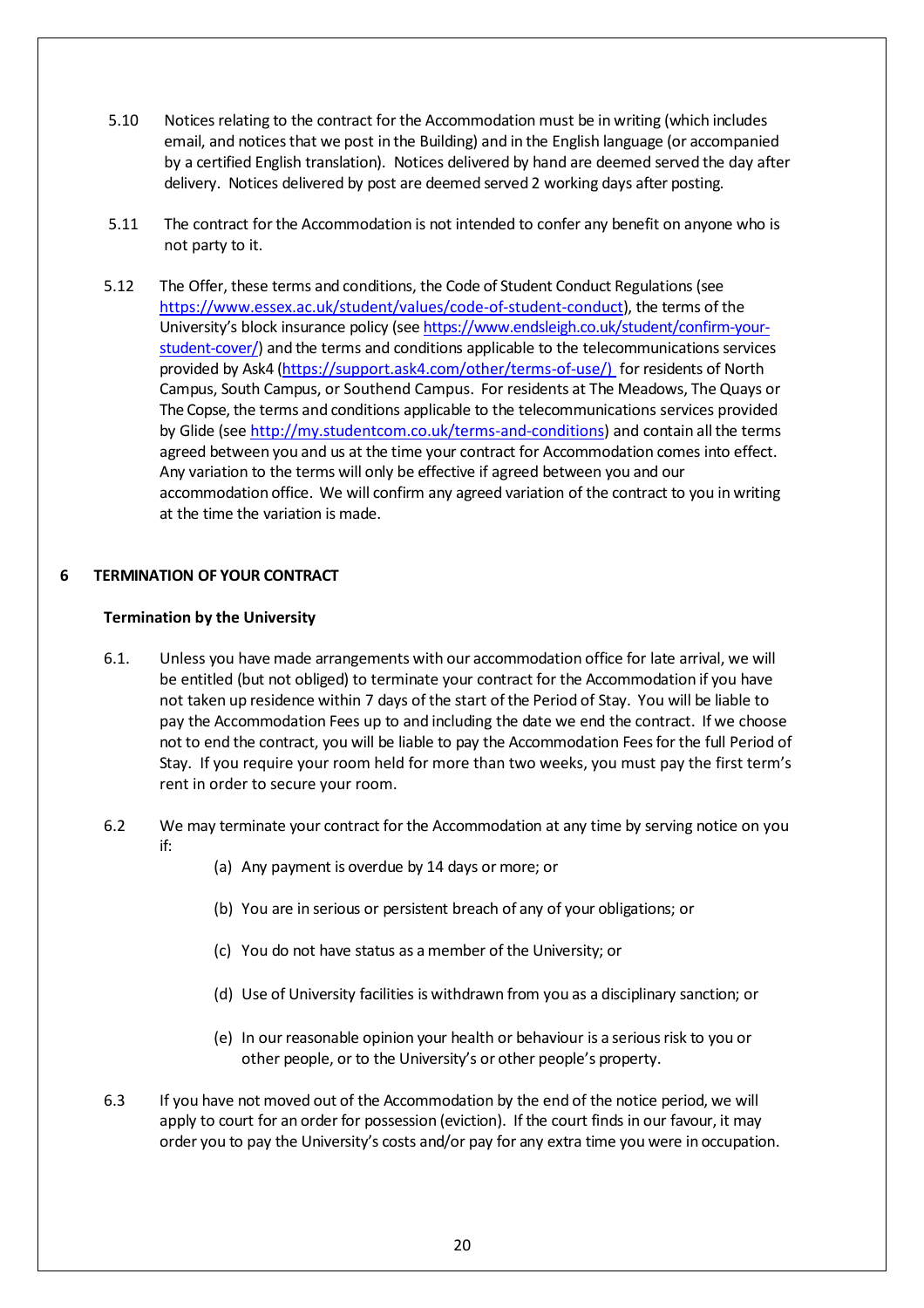- 5.10 Notices relating to the contract for the Accommodation must be in writing (which includes email, and notices that we post in the Building) and in the English language (or accompanied by a certified English translation). Notices delivered by hand are deemed served the day after delivery. Notices delivered by post are deemed served 2 working days after posting.
- 5.11 The contract forthe Accommodation is not intended to confer any benefit on anyone who is not party to it.
- 5.12 The Offer, these terms and conditions, the Code of Student Conduct Regulations (see [https://www.essex.ac.uk/student/values/code-of-student-conduct\)](https://www.essex.ac.uk/student/values/code-of-student-conduct), the terms of the University's block insurance policy (see [https://www.endsleigh.co.uk/student/confirm-your](http://www.endsleigh.co.uk/) $student$  cover $/$ ) and the terms and conditions applicable to the telecommunications services provided by Ask4 [\(https://support.ask4.com/other/terms-of-use/\)](https://support.ask4.com/other/terms-of-use/)) for residents of North Campus, South Campus, or Southend Campus. For residents at The Meadows, The Quays or The Copse, the terms and conditions applicable to the telecommunications services provided by Glide (see [http://my.studentcom.co.uk/terms-and-conditions\)](http://my.studentcom.co.uk/terms-and-conditions) and [contain](http://files.ask4.com/terms-of-use/ask4-student-terms.pdf) all the terms agreed between you and us at the time your contract for Accommodation comes into effect. Any variation to the terms will only be effective if agreed between you and our accommodation office. We will confirm any agreed variation of the contract to you in writing at the time the variation is made.

# **6 TERMINATION OF YOUR CONTRACT**

### **Termination by the University**

- <span id="page-19-0"></span>6.1. Unless you have made arrangements with our accommodation office for late arrival, we will be entitled (but not obliged) to terminate your contract for the Accommodation if you have not taken up residence within 7 days of the start of the Period of Stay. You will be liable to pay the Accommodation Fees up to and including the date we end the contract. If we choose not to end the contract, you will be liable to pay the Accommodation Feesfor the full Period of Stay. If you require your room held for more than two weeks, you must pay the first term's rent in order to secure your room.
- 6.2 We may terminate your contract for the Accommodation at any time by serving notice on you if:
	- (a) Any payment is overdue by 14 days or more; or
	- (b) You are in serious or persistent breach of any of your obligations; or
	- (c) You do not have status as amember of the University; or
	- (d) Use of University facilities is withdrawn from you as a disciplinary sanction; or
	- (e) In ourreasonable opinion your health or behaviour is a seriousrisk to you or other people, or to the University's or other people's property.
- 6.3 If you have not moved out of the Accommodation by the end of the notice period, we will apply to court for an order for possession (eviction). If the court finds in our favour, it may order you to pay the University's costs and/or pay for any extra time you were in occupation.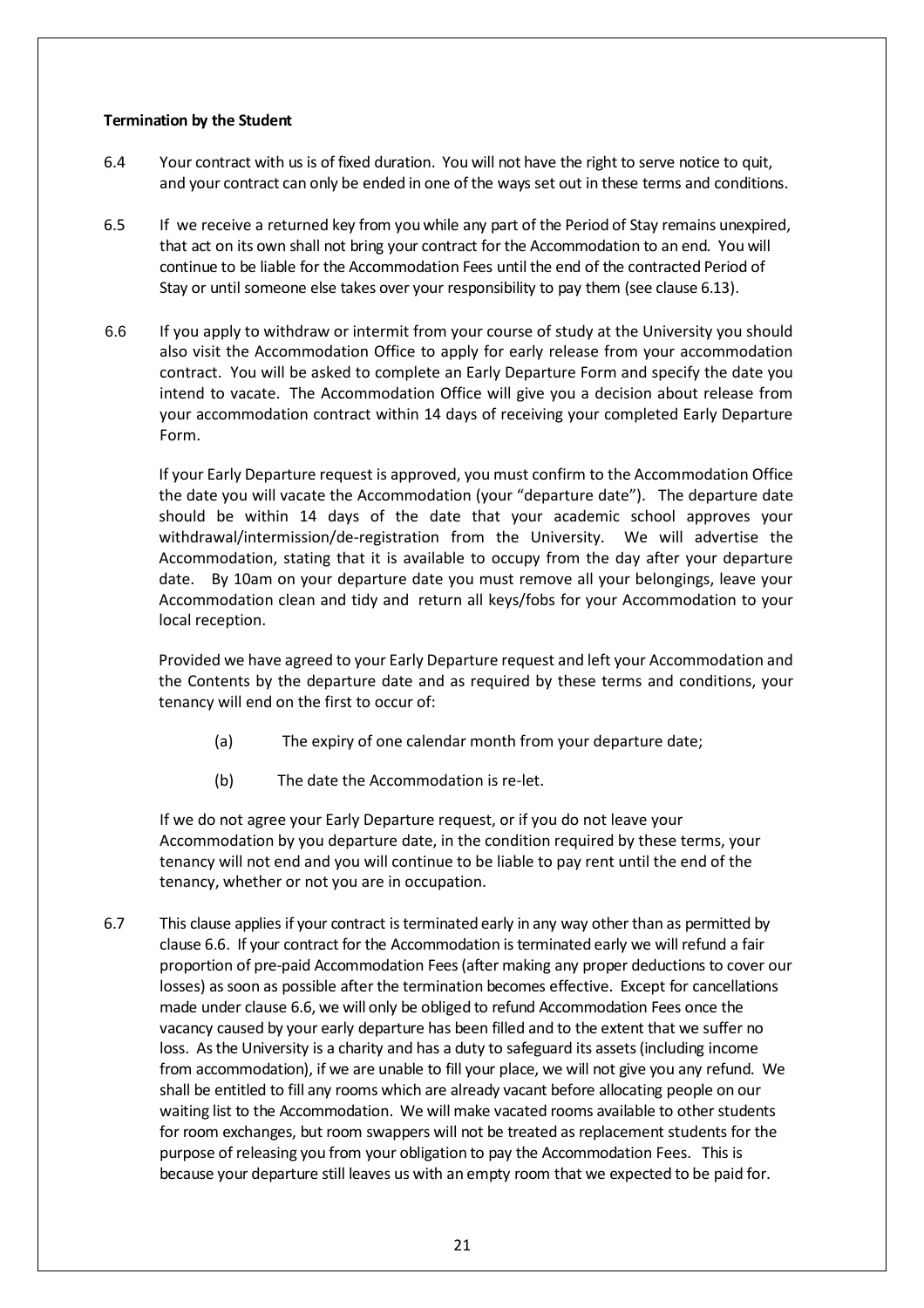## **Termination by the Student**

- 6.4 Your contract with us is of fixed duration. You will not have the right to serve notice to quit, and your contract can only be ended in one of the ways set out in these terms and conditions.
- 6.5 If we receive a returned key from youwhile any part of the Period of Stay remains unexpired, that act on its own shall not bring your contract for the Accommodation to an end. You will continue to be liable for the Accommodation Fees until the end of the contracted Period of Stay or until someone else takes over your responsibility to pay them (see clause [6.13\)](#page-21-0).
- <span id="page-20-0"></span>6.6 If you apply to withdraw or intermit from your course of study at the University you should also visit the Accommodation Office to apply for early release from your accommodation contract. You will be asked to complete an Early Departure Form and specify the date you intend to vacate. The Accommodation Office will give you a decision about release from your accommodation contract within 14 days of receiving your completed Early Departure Form.

If your Early Departure request is approved, you must confirm to the Accommodation Office the date you will vacate the Accommodation (your "departure date"). The departure date should be within 14 days of the date that your academic school approves your withdrawal/intermission/de-registration from the University. We will advertise the Accommodation, stating that it is available to occupy from the day after your departure date. By 10am on your departure date you must remove all your belongings, leave your Accommodation clean and tidy and return all keys/fobs for your Accommodation to your local reception.

Provided we have agreed to your Early Departure request and left your Accommodation and the Contents by the departure date and as required by these terms and conditions, your tenancy will end on the first to occur of:

- (a) The expiry of one calendar month from your departure date;
- (b) The date the Accommodation is re-let.

If we do not agree your Early Departure request, or if you do not leave your Accommodation by you departure date, in the condition required by these terms, your tenancy will not end and you will continue to be liable to pay rent until the end of the tenancy, whether or not you are in occupation.

6.7 This clause applies if your contract isterminated early in any way other than as permitted by clause [6.6.](#page-20-0) If [your](#page-19-0) contract for the Accommodation is terminated early we will refund a fair proportion of pre-paid Accommodation Fees(after making any proper deductions to cover our losses) as soon as possible after the termination becomes effective. Except for cancellations made under clause [6.6,](#page-20-0) we [will](#page-19-0) only be obliged to refund Accommodation Fees once the vacancy caused by your early departure has been filled and to the extent that we suffer no loss. As the University is a charity and has a duty to safeguard its assets (including income from accommodation), if we are unable to fill your place, we will not give you any refund. We shall be entitled to fill any rooms which are already vacant before allocating people on our waiting list to the Accommodation. We will make vacated rooms available to other students for room exchanges, but room swappers will not be treated as replacement students for the purpose of releasing you from your obligation to pay the Accommodation Fees. This is because your departure still leaves us with an empty room that we expected to be paid for.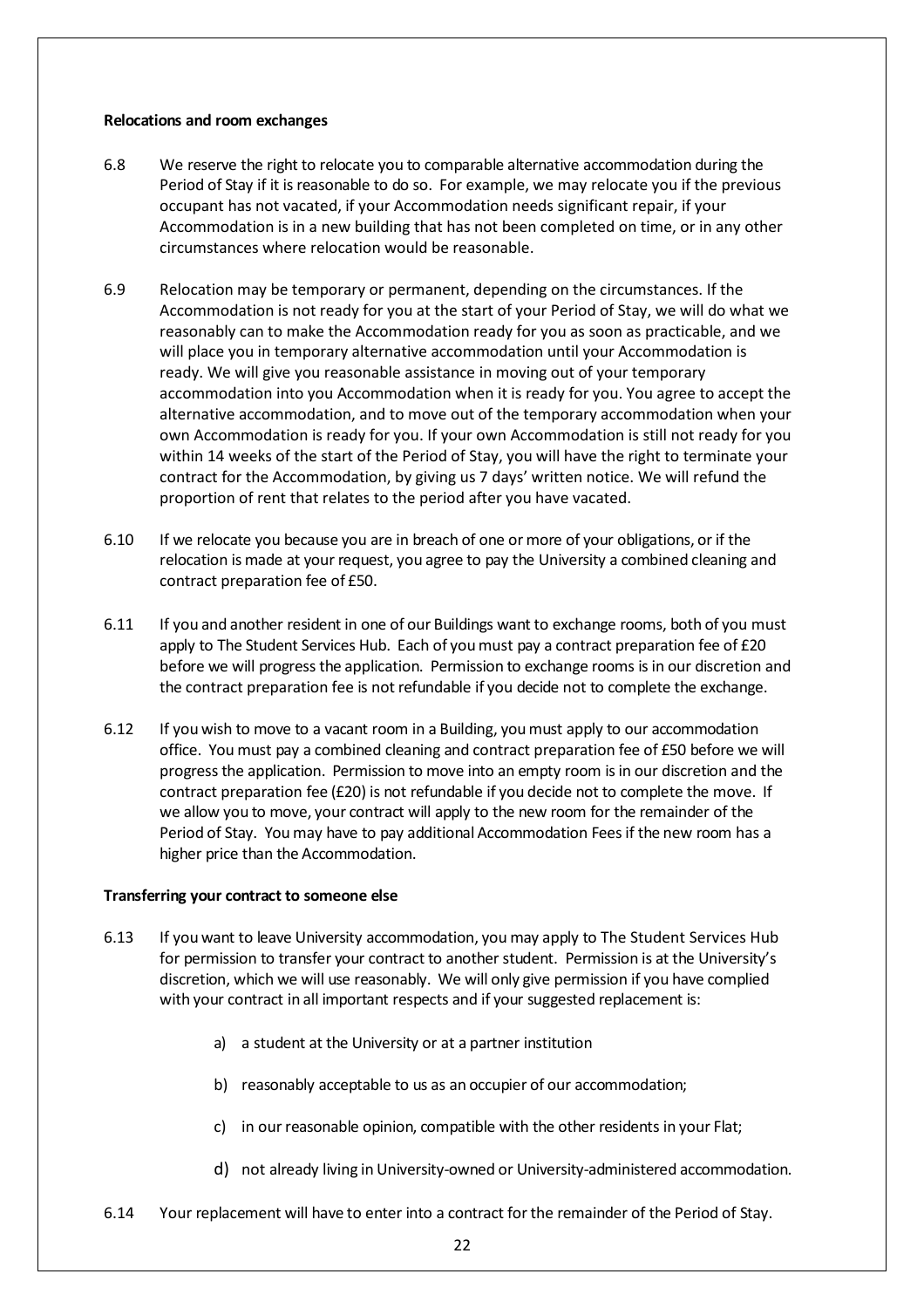#### **Relocations and room exchanges**

- 6.8 We reserve the right to relocate you to comparable alternative accommodation during the Period of Stay if it is reasonable to do so. For example, we may relocate you if the previous occupant has not vacated, if your Accommodation needs significant repair, if your Accommodation is in a new building that has not been completed on time, or in any other circumstances where relocation would be reasonable.
- 6.9 Relocation may be temporary or permanent, depending on the circumstances. If the Accommodation is not ready for you at the start of your Period of Stay, we will do what we reasonably can to make the Accommodation ready for you as soon as practicable, and we will place you in temporary alternative accommodation until your Accommodation is ready. We will give you reasonable assistance in moving out of your temporary accommodation into you Accommodation when it is ready for you. You agree to accept the alternative accommodation, and to move out of the temporary accommodation when your own Accommodation is ready for you. If your own Accommodation is still not ready for you within 14 weeks of the start of the Period of Stay, you will have the right to terminate your contract for the Accommodation, by giving us 7 days' written notice. We will refund the proportion of rent that relates to the period after you have vacated.
- 6.10 If we relocate you because you are in breach of one or more of your obligations, or if the relocation is made at your request, you agree to pay the University a combined cleaning and contract preparation fee of £50.
- <span id="page-21-1"></span>6.11 If you and another resident in one of our Buildings want to exchange rooms, both of you must apply to The Student Services Hub. Each of you must pay a contract preparation fee of £20 before we will progress the application. Permission to exchange rooms is in our discretion and the contract preparation fee is not refundable if you decide not to complete the exchange.
- 6.12 If you wish to move to a vacant room in a Building, youmust apply to our accommodation office. You must pay a combined cleaning and contract preparation fee of £50 before we will progress the application. Permission to move into an empty room isin our discretion and the contract preparation fee (£20) is not refundable if you decide not to complete the move. If we allow you to move, your contract will apply to the new room for the remainder of the Period of Stay. Youmay have to pay additional Accommodation Feesif the new room has a higher price than the Accommodation.

### **Transferring your contract to someone else**

- <span id="page-21-0"></span>6.13 If you want to leave University accommodation, you may apply to The Student Services Hub for permission to transfer your contract to another student. Permission is at the University's discretion, which we will use reasonably. We will only give permission if you have complied with your contract in all important respects and if your suggested replacement is:
	- a) a student at the University or at a partner institution
	- b) reasonably acceptable to us as an occupier of our accommodation;
	- c) in our reasonable opinion, compatible with the other residents in your Flat;
	- d) not already living inUniversity-owned or University-administered accommodation.
- <span id="page-21-3"></span><span id="page-21-2"></span>6.14 Your replacement will have to enter into a contract forthe remainder of the Period of Stay.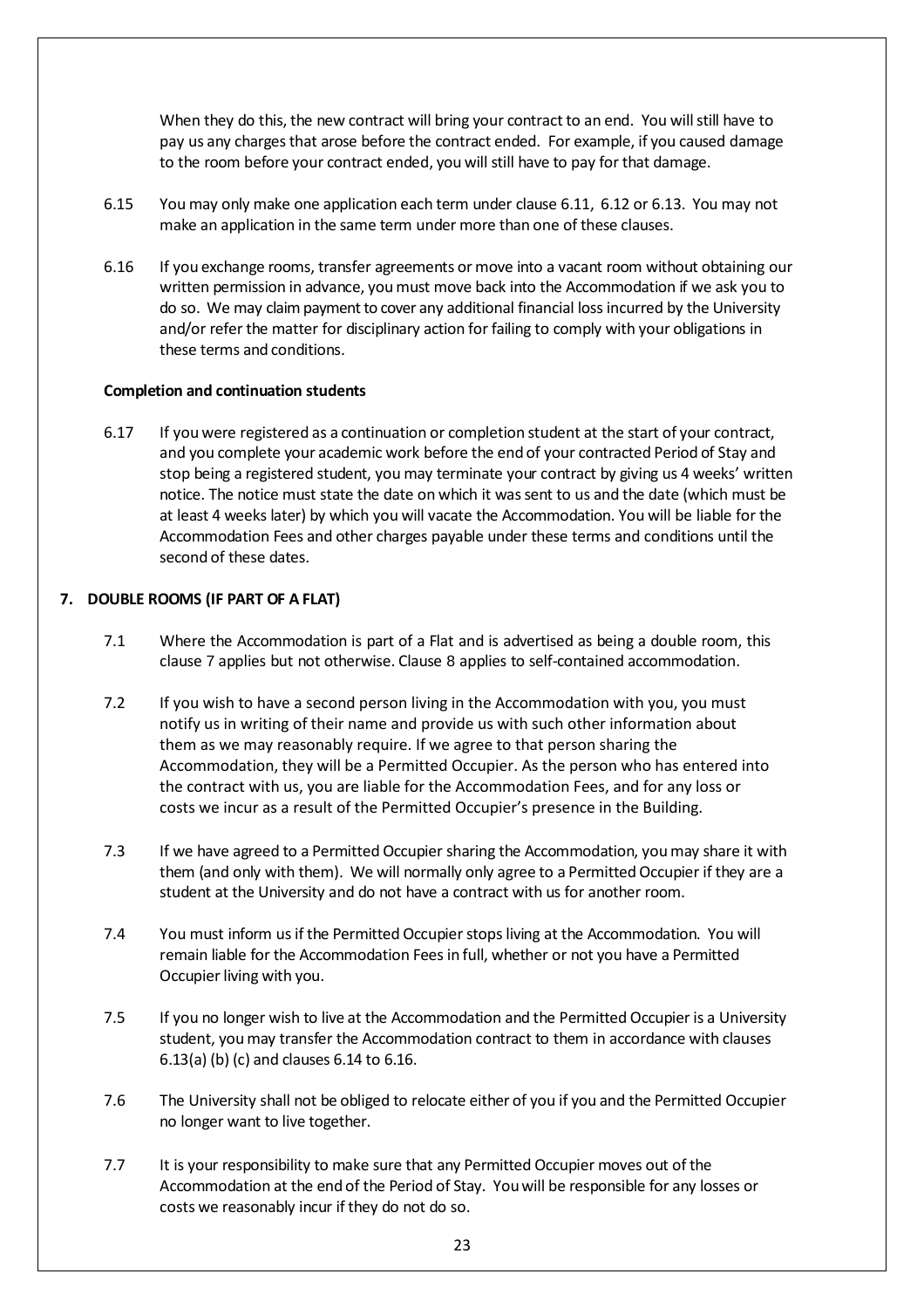<span id="page-22-1"></span>When they do this, the new contract will bring your contract to an end. You will still have to pay us any chargesthat arose before the contract ended. For example, if you caused damage to the room before your contract ended, you will still have to pay for that damage.

- 6.15 You may only make one application each term under clause [6.11,](#page-21-1) 6.12 [or 6.13.](#page-21-0) You may not make an application in the same term under more than one of these clauses.
- 6.16 If you exchange rooms, transfer agreements or move into a vacant room without obtaining our written permission in advance, youmust move back into the Accommodation if we ask you to do so. We may claim payment to cover any additional financial loss incurred by the University and/or refer the matter for disciplinary action for failing to comply with your obligations in these terms and conditions.

### **Completion and continuation students**

6.17 If you were registered as a continuation or completion student at the start of your contract, and you complete your academic work before the end of your contracted Period of Stay and stop being a registered student, you may terminate your contract by giving us 4 weeks' written notice. The notice must state the date on which it wassent to us and the date (which must be at least 4 weeks later) by which you will vacate the Accommodation. You will be liable for the Accommodation Fees and other charges payable under these terms and conditions until the second of these dates.

#### <span id="page-22-0"></span>**7. DOUBLE ROOMS (IF PART OF A FLAT)**

- 7.1 Where the Accommodation is part of a Flat and is advertised as being a double room, this clause [7](#page-22-0) applies but not otherwise. Clause [8](#page-23-0) applies to self-contained accommodation.
- 7.2 If you wish to have a second person living in the Accommodation with you, you must notify us in writing of their name and provide us with such other information about them as we may reasonably require. If we agree to that person sharing the Accommodation, they will be a Permitted Occupier. As the person who has entered into the contract with us, you are liable for the Accommodation Fees, and for any loss or costs we incur as a result of the Permitted Occupier's presence in the Building.
- 7.3 If we have agreed to a Permitted Occupier sharing the Accommodation, you may share it with them (and only with them). We will normally only agree to a Permitted Occupier if they are a student at the University and do not have a contract with us for another room.
- 7.4 You must inform us if the Permitted Occupier stops living at the Accommodation. You will remain liable for the Accommodation Fees in full, whether or not you have a Permitted Occupier living with you.
- 7.5 If you no longer wish to live at the Accommodation and the Permitted Occupier is a University student, youmay transfer the Accommodation contract to them in accordance [with](#page-21-0) [clauses](#page-21-0) 6.13(a) (b) (c) [and](#page-21-2) [clauses](#page-22-1) 6.14 to 6.16.
- 7.6 The University shall not be obliged to relocate either of you if you and the Permitted Occupier no longer want to live together.
- 7.7 It is your responsibility to make sure that any Permitted Occupier moves out of the Accommodation at the end of the Period of Stay. Youwill be responsible for any losses or costs we reasonably incur if they do not do so.